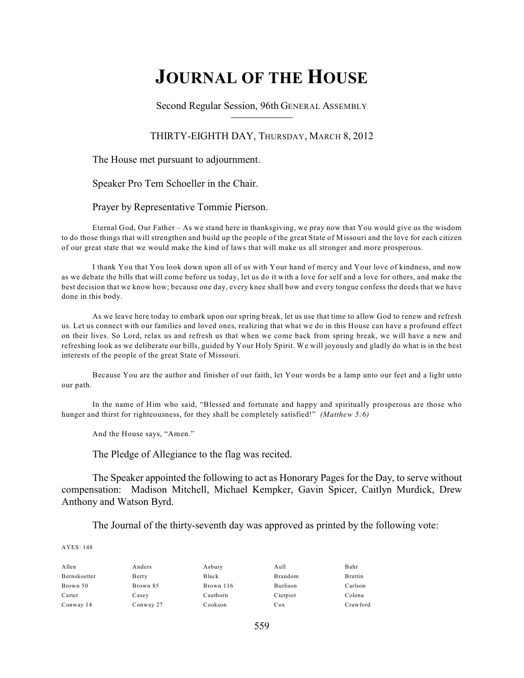# **JOURNAL OF THE HOUSE**

Second Regular Session, 96th GENERAL ASSEMBLY

#### THIRTY-EIGHTH DAY, THURSDAY, MARCH 8, 2012

The House met pursuant to adjournment.

Speaker Pro Tem Schoeller in the Chair.

Prayer by Representative Tommie Pierson.

Eternal God, Our Father – As we stand here in thanksgiving, we pray now that You would give us the wisdom to do those things that will strengthen and build up the people of the great State of Missouri and the love for each citizen of our great state that we would make the kind of laws that will make us all stronger and more prosperous.

I thank You that You look down upon all of us with Your hand of mercy and Your love of kindness, and now as we debate the bills that will come before us today, let us do it with a love for self and a love for others, and make the best decision that we know how; because one day, every knee shall bow and every tongue confess the deeds that we have done in this body.

As we leave here today to embark upon our spring break, let us use that time to allow God to renew and refresh us. Let us connect with our families and loved ones, realizing that what we do in this House can have a profound effect on their lives. So Lord, relax us and refresh us that when we come back from spring break, we will have a new and refreshing look as we deliberate our bills, guided by Your Holy Spirit. We will joyously and gladly do what is in the best interests of the people of the great State of Missouri.

Because You are the author and finisher of our faith, let Your words be a lamp unto our feet and a light unto our path.

In the name of Him who said, "Blessed and fortunate and happy and spiritually prosperous are those who hunger and thirst for righteousness, for they shall be completely satisfied!" *(Matthew 5:6)*

And the House says, "Amen."

The Pledge of Allegiance to the flag was recited.

The Speaker appointed the following to act as Honorary Pages for the Day, to serve without compensation: Madison Mitchell, Michael Kempker, Gavin Spicer, Caitlyn Murdick, Drew Anthony and Watson Byrd.

The Journal of the thirty-seventh day was approved as printed by the following vote:

| Allen        | Anders    | Asbury    | Aull     | Bahr           |
|--------------|-----------|-----------|----------|----------------|
| Bernskoetter | Berry     | Black     | Brandom  | <b>Brattin</b> |
| Brown 50     | Brown 85  | Brown 116 | Burlison | Carlson        |
| Carter       | Casey     | Cauthorn  | Cierpiot | Colona         |
| Conway 14    | Conway 27 | Cookson   | Cox      | Crawford       |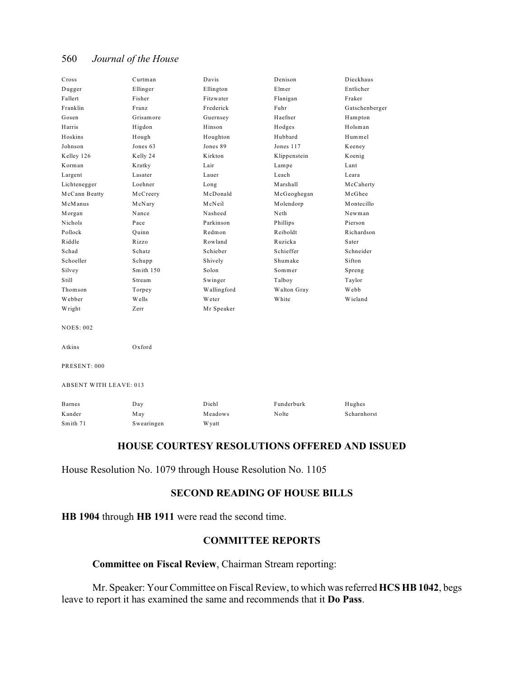| Cross                         | Curtman    | Davis        | Denison      | Dieckhaus      |  |
|-------------------------------|------------|--------------|--------------|----------------|--|
| Dugger                        | Ellinger   | Ellington    | Elmer        | Entlicher      |  |
| Fallert                       | Fisher     | Fitzwater    | Flanigan     | Fraker         |  |
| Franklin                      | Franz      | Frederick    | Fuhr         | Gatschenberger |  |
| Gosen                         | Grisamore  | Guernsey     | Haefner      | Hampton        |  |
| Harris                        | Higdon     | Hinson       | Hodges       | Holsman        |  |
| Hoskins                       | Hough      | Houghton     | Hubbard      | Hummel         |  |
| Johnson                       | Jones 63   | Jones 89     | Jones 117    | Keeney         |  |
| Kelley 126                    | Kelly 24   | Kirkton      | Klippenstein | Koenig         |  |
| Korman                        | Kratky     | Lair         | Lampe        | Lant           |  |
| Largent                       | Lasater    | Lauer        | Leach        | Leara          |  |
| Lichtenegger                  | Loehner    | Long         | Marshall     | McCaherty      |  |
| McCann Beatty                 | McCreery   | McDonald     | McGeoghegan  | McGhee         |  |
| McManus                       | McNary     | McNeil       | Molendorp    | Montecillo     |  |
| Morgan                        | Nance      | Nasheed      | Neth         | Newman         |  |
| Nichols                       | Pace       | Parkinson    | Phillips     | Pierson        |  |
| Pollock                       | Quinn      | Redmon       | Reiboldt     | Richardson     |  |
| Riddle                        | Rizzo      | Rowland      | Ruzicka      | Sater          |  |
| Schad                         | Schatz     | Schieber     | Schieffer    | Schneider      |  |
| Schoeller                     | Schupp     | Shively      | Shumake      | Sifton         |  |
| Silvey                        | Smith 150  | Solon        | Sommer       | Spreng         |  |
| Still                         | Stream     | Swinger      | Talboy       | Taylor         |  |
| Thomson                       | Torpey     | Wallingford  | Walton Gray  | Webb           |  |
| Webber                        | Wells      | Weter        | White        | Wieland        |  |
| Wright                        | Zerr       | Mr Speaker   |              |                |  |
| <b>NOES: 002</b>              |            |              |              |                |  |
| Atkins                        | Oxford     |              |              |                |  |
| PRESENT: 000                  |            |              |              |                |  |
| <b>ABSENT WITH LEAVE: 013</b> |            |              |              |                |  |
| <b>Barnes</b>                 | Day        | Diehl        | Funderburk   | Hughes         |  |
| Kander                        | May        | Meadows      | Nolte        | Scharnhorst    |  |
| Smith 71                      | Swearingen | <b>Wyatt</b> |              |                |  |
|                               |            |              |              |                |  |

#### **HOUSE COURTESY RESOLUTIONS OFFERED AND ISSUED**

House Resolution No. 1079 through House Resolution No. 1105

#### **SECOND READING OF HOUSE BILLS**

**HB 1904** through **HB 1911** were read the second time.

#### **COMMITTEE REPORTS**

**Committee on Fiscal Review**, Chairman Stream reporting:

Mr. Speaker: Your Committee on Fiscal Review, to which was referred **HCS HB 1042**, begs leave to report it has examined the same and recommends that it **Do Pass**.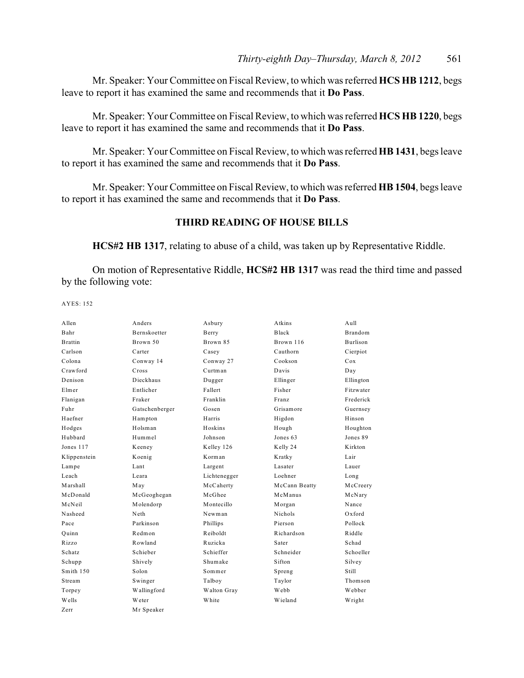Mr. Speaker: Your Committee on Fiscal Review, to which was referred **HCS HB 1212**, begs leave to report it has examined the same and recommends that it **Do Pass**.

Mr. Speaker: Your Committee on Fiscal Review, to which was referred **HCS HB 1220**, begs leave to report it has examined the same and recommends that it **Do Pass**.

Mr. Speaker: Your Committee on Fiscal Review, to which was referred **HB 1431**, begs leave to report it has examined the same and recommends that it **Do Pass**.

Mr. Speaker: Your Committee on Fiscal Review, to which was referred **HB 1504**, begs leave to report it has examined the same and recommends that it **Do Pass**.

### **THIRD READING OF HOUSE BILLS**

**HCS#2 HB 1317**, relating to abuse of a child, was taken up by Representative Riddle.

On motion of Representative Riddle, **HCS#2 HB 1317** was read the third time and passed by the following vote:

| A llen        | Anders              | Asbury       | Atkins         | A <sub>u</sub> 11 |
|---------------|---------------------|--------------|----------------|-------------------|
| Bahr          | <b>Bernskoetter</b> | Berry        | Black          | <b>Brandom</b>    |
| Brattin       | Brown 50            | Brown 85     | Brown 116      | Burlison          |
| Carlson       | Carter              | Casey        | Cauthorn       | Cierpiot          |
| Colona        | Conway 14           | Conway 27    | Cookson        | Cox               |
| Crawford      | Cross               | Curtman      | Davis          | Day               |
| Denison       | Dieckhaus           | Dugger       | Ellinger       | Ellington         |
| Elmer         | Entlicher           | Fallert      | Fisher         | Fitzwater         |
| Flanigan      | Fraker              | Franklin     | Franz          | Frederick         |
| Fuhr          | Gatschenberger      | Gosen        | Grisamore      | Guernsey          |
| Haefner       | Hampton             | Harris       | Higdon         | Hinson            |
| Hodges        | Holsman             | Hoskins      | Hough          | Houghton          |
| Hubbard       | Hummel              | Johnson      | Jones 63       | Jones 89          |
| Jones 117     | Keeney              | Kelley 126   | Kelly 24       | Kirkton           |
| Klippenstein  | Koenig              | Korman       | Kratky         | Lair              |
| Lampe         | Lant                | Largent      | Lasater        | Lauer             |
| Leach         | Leara               | Lichtenegger | Loehner        | Long              |
| Marshall      | May                 | McCaherty    | McCann Beatty  | McCreery          |
| McDonald      | McGeoghegan         | McGhee       | McManus        | McNary            |
| McNeil        | Molendorp           | Montecillo   | Morgan         | Nance             |
| Nasheed       | Neth                | Newman       | <b>Nichols</b> | $Ox$ ford         |
| Pace          | Parkinson           | Phillips     | Pierson        | Pollock           |
| Ouinn         | Redmon              | Reiboldt     | Richardson     | Riddle            |
| Rizzo         | Rowland             | Ruzicka      | Sater          | Schad             |
| <b>Schatz</b> | Schieber            | Schieffer    | Schneider      | Schoeller         |
| Schupp        | Shively             | Shumake      | Sifton         | Silvey            |
| Smith 150     | Solon               | Sommer       | Spreng         | <b>Still</b>      |
| Stream        | Swinger             | Talboy       | Taylor         | Thomson           |
| Torpey        | Wallingford         | Walton Gray  | Webb           | Webber            |
| Wells         | Weter               | White        | Wieland        | Wright            |
| Zerr          | Mr Speaker          |              |                |                   |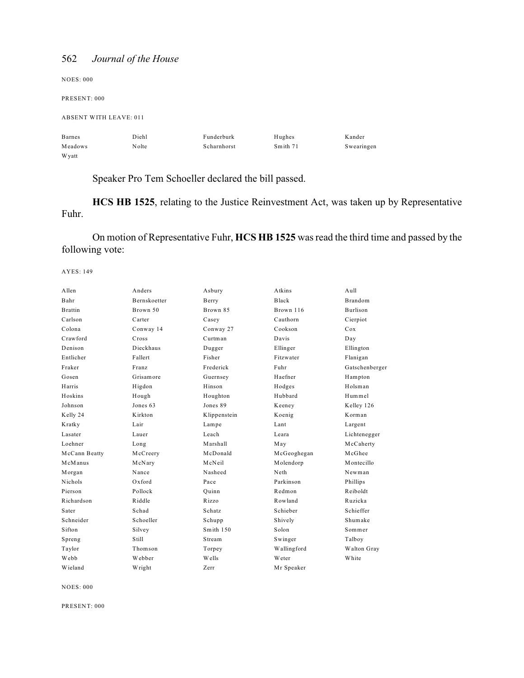NOES: 000 PRESENT: 000 ABSENT WITH LEAVE: 011 Barnes Diehl Funderburk Hughes Kander Meadows Nolte Scharnhorst Smith 71 Swearingen Wyatt

Speaker Pro Tem Schoeller declared the bill passed.

**HCS HB 1525**, relating to the Justice Reinvestment Act, was taken up by Representative Fuhr.

On motion of Representative Fuhr, **HCS HB 1525** was read the third time and passed by the following vote:

AYES: 149

| Allen          | Anders              | Asbury       | Atkins      | A <sub>u</sub> 11 |
|----------------|---------------------|--------------|-------------|-------------------|
| Bahr           | <b>Bernskoetter</b> | Berry        | Black       | <b>Brandom</b>    |
| <b>Brattin</b> | Brown 50            | Brown 85     | Brown 116   | <b>Burlison</b>   |
| Carlson        | Carter              | Casey        | Cauthorn    | Cierpiot          |
| Colona         | Conway 14           | Conway 27    | Cookson     | Cox               |
| Crawford       | Cross               | Curtman      | Davis       | Day               |
| Denison        | Dieckhaus           | Dugger       | Ellinger    | Ellington         |
| Entlicher      | Fallert             | Fisher       | Fitzwater   | Flanigan          |
| Fraker         | Franz               | Frederick    | Fuhr        | Gatschenberger    |
| Gosen          | Grisamore           | Guernsey     | Haefner     | Hampton           |
| Harris         | Higdon              | Hinson       | Hodges      | Holsman           |
| Hoskins        | Hough               | Houghton     | Hubbard     | Hummel            |
| Johnson        | Jones 63            | Jones 89     | Keeney      | Kelley 126        |
| Kelly 24       | Kirkton             | Klippenstein | Koenig      | Korman            |
| Kratky         | Lair                | Lampe        | Lant        | Largent           |
| Lasater        | Lauer               | Leach        | Leara       | Lichtenegger      |
| Loehner        | Long                | Marshall     | May         | McCaherty         |
| McCann Beatty  | McCreery            | McDonald     | McGeoghegan | McGhee            |
| McManus        | McNary              | McNeil       | Molendorp   | Montecillo        |
| Morgan         | Nance               | Nasheed      | Neth        | Newman            |
| <b>Nichols</b> | $Ox$ ford           | Pace         | Parkinson   | Phillips          |
| Pierson        | Pollock             | Quinn        | Redmon      | Reiboldt          |
| Richardson     | Riddle              | Rizzo        | Rowland     | Ruzicka           |
| Sater          | Schad               | Schatz       | Schieber    | Schieffer         |
| Schneider      | Schoeller           | Schupp       | Shively     | Shumake           |
| Sifton         | Silvey              | Smith $150$  | Solon       | Sommer            |
| Spreng         | Still               | Stream       | Swinger     | Talboy            |
| Taylor         | Thomson             | Torpey       | Wallingford | Walton Gray       |
| Webb           | Webber              | Wells        | Weter       | White             |
| Wieland        | Wright              | Zerr         | Mr Speaker  |                   |
|                |                     |              |             |                   |

NOES: 000

PRESENT: 000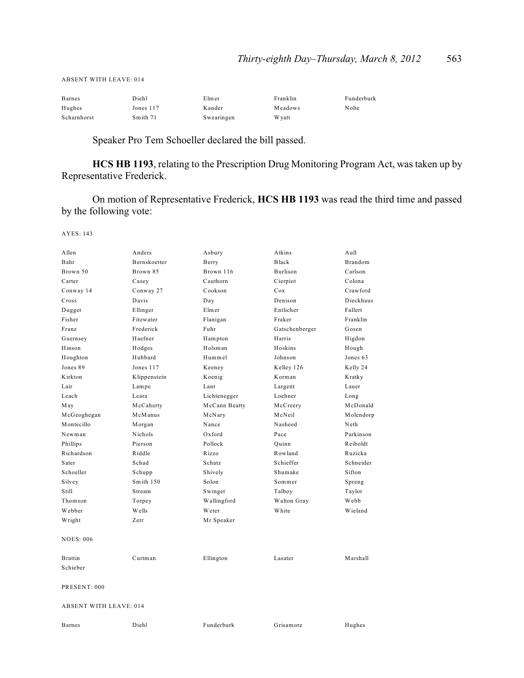ABSENT WITH LEAVE: 014

| <b>Barnes</b> | Diehl       | Elmer      | Franklin | Funderburk |
|---------------|-------------|------------|----------|------------|
| Hughes        | Jones $117$ | Kander     | Meadows  | Nolte      |
| Scharnhorst   | Smith 71    | Swearingen | W yatt   |            |

Speaker Pro Tem Schoeller declared the bill passed.

**HCS HB 1193**, relating to the Prescription Drug Monitoring Program Act, was taken up by Representative Frederick.

On motion of Representative Frederick, **HCS HB 1193** was read the third time and passed by the following vote:

| Allen                         | Anders       | Asbury        | Atkins         | Aull      |  |
|-------------------------------|--------------|---------------|----------------|-----------|--|
| Bahr                          | Bernskoetter | Berry         | Black          | Brandom   |  |
| Brown 50                      | Brown 85     | Brown 116     | Burlison       | Carlson   |  |
| Carter                        | Casey        | Cauthorn      | Cierpiot       | Colona    |  |
| Conway 14                     | Conway 27    | Cookson       | Cox            | Crawford  |  |
| Cross                         | Davis        | Day           | Denison        | Dieckhaus |  |
| Dugger                        | Ellinger     | Elmer         | Entlicher      | Fallert   |  |
| Fisher                        | Fitzwater    | Flanigan      | Fraker         | Franklin  |  |
| Franz                         | Frederick    | Fuhr          | Gatschenberger | Gosen     |  |
| Guernsey                      | Haefner      | Hampton       | Harris         | Higdon    |  |
| Hinson                        | Hodges       | Holsman       | Hoskins        | Hough     |  |
| Houghton                      | Hubbard      | Hummel        | Johnson        | Jones 63  |  |
| Jones 89                      | Jones 117    | Keeney        | Kelley 126     | Kelly 24  |  |
| Kirkton                       | Klippenstein | Koenig        | Korman         | Kratky    |  |
| Lair                          | Lampe        | Lant          | Largent        | Lauer     |  |
| Leach                         | Leara        | Lichtenegger  | Loehner        | Long      |  |
| May                           | McCaherty    | McCann Beatty | McCreery       | McDonald  |  |
| McGeoghegan                   | McManus      | McNary        | McNeil         | Molendorp |  |
| Montecillo                    | Morgan       | Nance         | Nasheed        | Neth      |  |
| Newman                        | Nichols      | Oxford        | Pace           | Parkinson |  |
| Phillips                      | Pierson      | Pollock       | Ouinn          | Reiboldt  |  |
| Richardson                    | Riddle       | Rizzo         | Rowland        | Ruzicka   |  |
| Sater                         | Schad        | Schatz        | Schieffer      | Schneider |  |
| Schoeller                     | Schupp       | Shively       | Shumake        | Sifton    |  |
| Silvey                        | Smith 150    | Solon         | Sommer         | Spreng    |  |
| Still                         | Stream       | Swinger       | Talboy         | Taylor    |  |
| Thomson                       | Torpey       | Wallingford   | Walton Gray    | Webb      |  |
| Webber                        | Wells        | Weter         | White          | Wieland   |  |
| Wright                        | Zerr         | Mr Speaker    |                |           |  |
| <b>NOES: 006</b>              |              |               |                |           |  |
| <b>Brattin</b>                | Curtman      | Ellington     | Lasater        | Marshall  |  |
| Schieber                      |              |               |                |           |  |
| PRESENT: 000                  |              |               |                |           |  |
| <b>ABSENT WITH LEAVE: 014</b> |              |               |                |           |  |
| Barnes                        | Diehl        | Funderburk    | Grisamore      | Hughes    |  |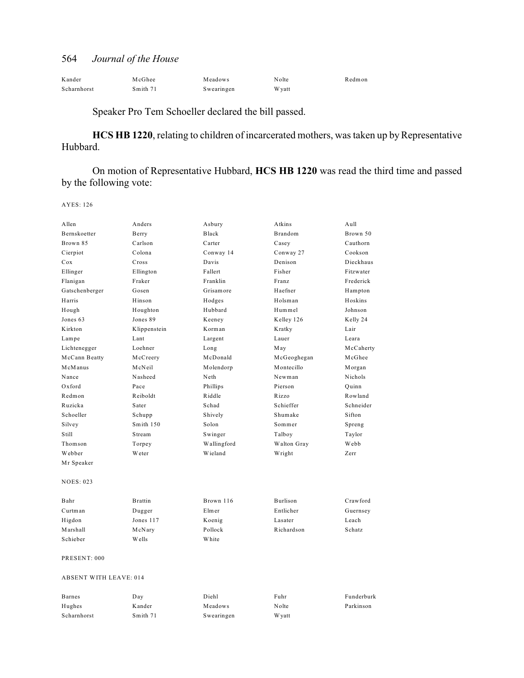| Kander      | McGhee   | Meadows    | Nolte  | Redmon |
|-------------|----------|------------|--------|--------|
| Scharnhorst | Smith 71 | Swearingen | W yatt |        |

# Speaker Pro Tem Schoeller declared the bill passed.

**HCS HB 1220**, relating to children of incarcerated mothers, was taken up by Representative Hubbard.

On motion of Representative Hubbard, **HCS HB 1220** was read the third time and passed by the following vote:

| Allen                         | Anders         | Asbury      | Atkins      | Aull       |
|-------------------------------|----------------|-------------|-------------|------------|
| Bernskoetter                  | Berry          | Black       | Brandom     | Brown 50   |
| Brown 85                      | Carlson        | Carter      | Casey       | Cauthorn   |
| Cierpiot                      | Colona         | Conway 14   | Conway 27   | Cookson    |
| Cox                           | Cross          | Davis       | Denison     | Dieckhaus  |
| Ellinger                      | Ellington      | Fallert     | Fisher      | Fitzwater  |
| Flanigan                      | Fraker         | Franklin    | Franz       | Frederick  |
| Gatschenberger                | Gosen          | Grisamore   | Haefner     | Hampton    |
| Harris                        | Hinson         | Hodges      | Holsman     | Hoskins    |
| Hough                         | Houghton       | Hubbard     | Hummel      | Johnson    |
| Jones 63                      | Jones 89       | Keeney      | Kelley 126  | Kelly 24   |
| Kirkton                       | Klippenstein   | Korman      | Kratky      | Lair       |
| Lampe                         | Lant           | Largent     | Lauer       | Leara      |
| Lichtenegger                  | Loehner        | Long        | May         | McCaherty  |
| McCann Beatty                 | McCreery       | McDonald    | McGeoghegan | McGhee     |
| McManus                       | McNeil         | Molendorp   | Montecillo  | Morgan     |
| Nance                         | Nasheed        | Neth        | Newman      | Nichols    |
| Oxford                        | Pace           | Phillips    | Pierson     | Quinn      |
| Redmon                        | Reiboldt       | Riddle      | Rizzo       | Rowland    |
| Ruzicka                       | Sater          | Schad       | Schieffer   | Schneider  |
| Schoeller                     | Schupp         | Shively     | Shumake     | Sifton     |
| Silvey                        | Smith 150      | Solon       | Sommer      | Spreng     |
| Still                         | Stream         | Swinger     | Talboy      | Taylor     |
| Thomson                       | Torpey         | Wallingford | Walton Gray | Webb       |
| Webber                        | Weter          | Wieland     | Wright      | Zerr       |
| Mr Speaker                    |                |             |             |            |
| <b>NOES: 023</b>              |                |             |             |            |
| Bahr                          | <b>Brattin</b> | Brown 116   | Burlison    | Crawford   |
| Curtman                       | Dugger         | Elmer       | Entlicher   | Guernsey   |
| Higdon                        | Jones 117      | Koenig      | Lasater     | Leach      |
| Marshall                      | McNary         | Pollock     | Richardson  | Schatz     |
| Schieber                      | Wells          | White       |             |            |
| PRESENT: 000                  |                |             |             |            |
| <b>ABSENT WITH LEAVE: 014</b> |                |             |             |            |
| <b>Barnes</b>                 | Day            | Diehl       | Fuhr        | Funderburk |
| Hughes                        | Kander         | Meadows     | Nolte       | Parkinson  |
| Scharnhorst                   | Smith 71       | Swearingen  | W yatt      |            |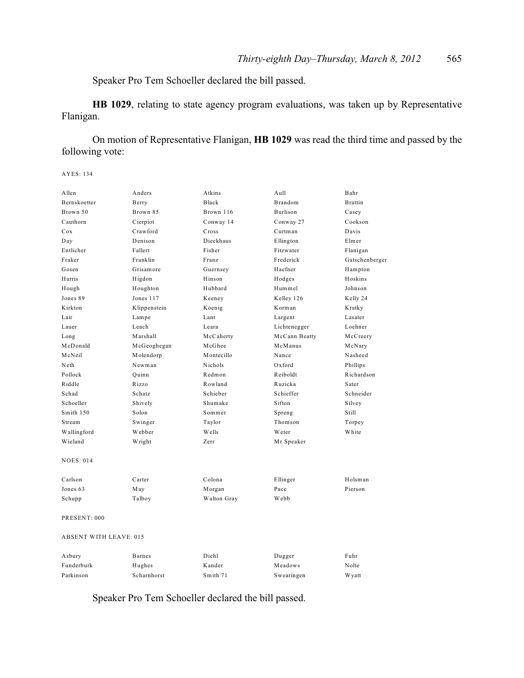Speaker Pro Tem Schoeller declared the bill passed.

**HB 1029**, relating to state agency program evaluations, was taken up by Representative Flanigan.

On motion of Representative Flanigan, **HB 1029** was read the third time and passed by the following vote:

AYES: 134

| Allen                         | Anders        | Atkins       | Aull          | Bahr           |  |
|-------------------------------|---------------|--------------|---------------|----------------|--|
| Bernskoetter                  | Berry         | <b>Black</b> | Brandom       | <b>Brattin</b> |  |
| Brown 50                      | Brown 85      | Brown 116    | Burlison      | Casey          |  |
| Cauthorn                      | Cierpiot      | Conway 14    | Conway 27     | Cookson        |  |
| Cox                           | Crawford      | Cross        | Curtman       | Davis          |  |
| Day                           | Denison       | Dieckhaus    | Ellington     | Elmer          |  |
| Entlicher                     | Fallert       | Fisher       | Fitzwater     | Flanigan       |  |
| Fraker                        | Franklin      | Franz        | Frederick     | Gatschenberger |  |
| Gosen                         | Grisamore     | Guernsey     | Haefner       | Hampton        |  |
| Harris                        | Higdon        | Hinson       | Hodges        | Hoskins        |  |
| Hough                         | Houghton      | Hubbard      | Hummel        | Johnson        |  |
| Jones 89                      | Jones 117     | Keeney       | Kelley 126    | Kelly 24       |  |
| Kirkton                       | Klippenstein  | Koenig       | Korman        | Kratky         |  |
| Lair                          | Lampe         | Lant         | Largent       | Lasater        |  |
| Lauer                         | Leach         | Leara        | Lichtenegger  | Loehner        |  |
| Long                          | Marshall      | McCaherty    | McCann Beatty | McCreery       |  |
| McDonald                      | McGeoghegan   | McGhee       | McManus       | McNary         |  |
| McNeil                        | Molendorp     | Montecillo   | Nance         | Nasheed        |  |
| Neth                          | Newman        | Nichols      | Oxford        | Phillips       |  |
| Pollock                       | Quinn         | Redmon       | Reiboldt      | Richardson     |  |
| Riddle                        | Rizzo         | Rowland      | Ruzicka       | Sater          |  |
| Schad                         | Schatz        | Schieber     | Schieffer     | Schneider      |  |
| Schoeller                     | Shively       | Shumake      | Sifton        | Silvey         |  |
| Smith 150                     | Solon         | Sommer       | Spreng        | Still          |  |
| Stream                        | Swinger       | Taylor       | Thomson       | Torpey         |  |
| Wallingford                   | Webber        | Wells        | Weter         | White          |  |
| Wieland                       | Wright        | Zerr         | Mr Speaker    |                |  |
| <b>NOES: 014</b>              |               |              |               |                |  |
| Carlson                       | Carter        | Colona       | Ellinger      | Holsman        |  |
| Jones 63                      | May           | Morgan       | Pace          | Pierson        |  |
| Schupp                        | Talboy        | Walton Gray  | Webb          |                |  |
| PRESENT: 000                  |               |              |               |                |  |
| <b>ABSENT WITH LEAVE: 015</b> |               |              |               |                |  |
| Asbury                        | <b>Barnes</b> | Diehl        | Dugger        | Fuhr           |  |
| Funderburk                    | Hughes        | Kander       | Meadows       | Nolte          |  |

Speaker Pro Tem Schoeller declared the bill passed.

Parkinson Scharnhorst Smith 71 Swearingen Wyatt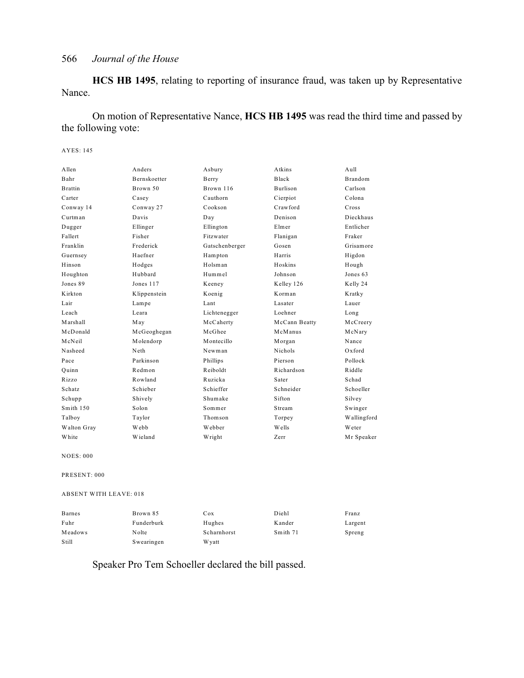**HCS HB 1495**, relating to reporting of insurance fraud, was taken up by Representative Nance.

On motion of Representative Nance, **HCS HB 1495** was read the third time and passed by the following vote:

#### AYES: 145

| Allen          | Anders              | Asbury         | Atkins          | A <sub>u</sub> 11 |
|----------------|---------------------|----------------|-----------------|-------------------|
| Bahr           | <b>Bernskoetter</b> | Berry          | Black           | <b>Brandom</b>    |
| <b>Brattin</b> | Brown 50            | Brown 116      | <b>Burlison</b> | Carlson           |
| Carter         | Casey               | Cauthorn       | Cierpiot        | Colona            |
| Conway 14      | Conway 27           | Cookson        | Crawford        | Cross             |
| Curtman        | Davis               | Day            | Denison         | Dieckhaus         |
| Dugger         | Ellinger            | Ellington      | Elmer           | Entlicher         |
| Fallert        | Fisher              | Fitzwater      | Flanigan        | Fraker            |
| Franklin       | Frederick           | Gatschenberger | Gosen           | Grisamore         |
| Guernsey       | Haefner             | Hampton        | Harris          | Higdon            |
| Hinson         | Hodges              | Holsman        | Hoskins         | Hough             |
| Houghton       | Hubbard             | Hummel         | Johnson         | Jones 63          |
| Jones 89       | Jones 117           | Keeney         | Kelley 126      | Kelly 24          |
| Kirkton        | Klippenstein        | Koenig         | Korman          | Kratky            |
| Lair           | Lampe               | Lant           | Lasater         | Lauer             |
| Leach          | Leara               | Lichtenegger   | Loehner         | Long              |
| Marshall       | May                 | McCaherty      | McCann Beatty   | McCreery          |
| McDonald       | McGeoghegan         | McGhee         | McManus         | McNary            |
| McNeil         | Molendorp           | Montecillo     | Morgan          | Nance             |
| Nasheed        | Neth                | Newman         | <b>Nichols</b>  | $Ox$ ford         |
| Pace           | Parkinson           | Phillips       | Pierson         | Pollock           |
| Ouinn          | Redmon              | Reiboldt       | Richardson      | Riddle            |
| Rizzo          | Rowland             | Ruzicka        | Sater           | Schad             |
| Schatz         | Schieber            | Schieffer      | Schneider       | Schoeller         |
| Schupp         | Shively             | Shumake        | Sifton          | Silvey            |
| Smith 150      | Solon               | Sommer         | Stream          | Swinger           |
| Talboy         | Taylor              | Thomson        | Torpey          | Wallingford       |
| Walton Gray    | Webb                | Webber         | Wells           | Weter             |
| White          | Wieland             | Wright         | Zerr            | Mr Speaker        |

NOES: 000

PRESENT: 000

ABSENT WITH LEAVE: 018

| <b>Barnes</b> | Brown 85   | Cox         | Diehl    | Franz   |
|---------------|------------|-------------|----------|---------|
| Fuhr          | Funderburk | Hughes      | Kander   | Largent |
| Meadows       | Nolte      | Scharnhorst | Smith 71 | Spreng  |
| Still         | Swearingen | W vatt      |          |         |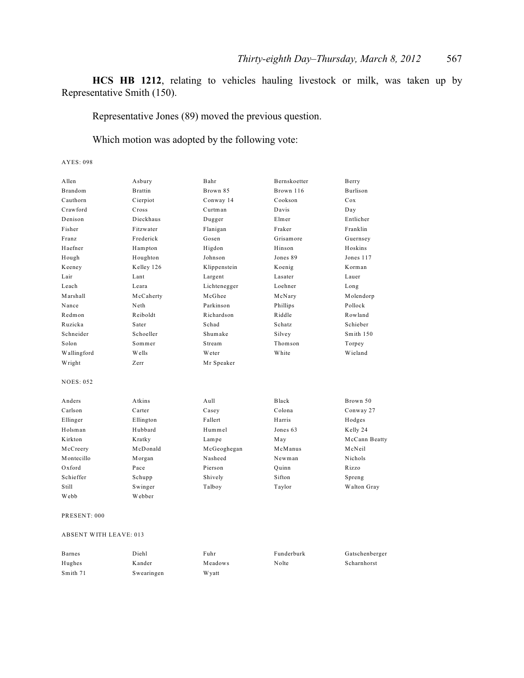**HCS HB 1212**, relating to vehicles hauling livestock or milk, was taken up by Representative Smith (150).

Representative Jones (89) moved the previous question.

Which motion was adopted by the following vote:

AYES: 098

| Allen            | Asbury         | Bahr         | Bernskoetter | Berry         |
|------------------|----------------|--------------|--------------|---------------|
| <b>Brandom</b>   | <b>Brattin</b> | Brown 85     | Brown 116    | Burlison      |
| Cauthorn         | Cierpiot       | Conway 14    | Cookson      | Cox           |
| Crawford         | Cross          | Curtman      | Davis        | Day           |
| Denison          | Dieckhaus      | Dugger       | Elmer        | Entlicher     |
| Fisher           | Fitzwater      | Flanigan     | Fraker       | Franklin      |
| Franz            | Frederick      | Gosen        | Grisamore    | Guernsey      |
| Haefner          | Hampton        | Higdon       | Hinson       | Hoskins       |
| Hough            | Houghton       | Johnson      | Jones 89     | Jones 117     |
| Keeney           | Kelley 126     | Klippenstein | Koenig       | Korman        |
| Lair             | Lant           | Largent      | Lasater      | Lauer         |
| Leach            | Leara          | Lichtenegger | Loehner      | Long          |
| Marshall         | McCaherty      | McGhee       | McNary       | Molendorp     |
| Nance            | Neth           | Parkinson    | Phillips     | Pollock       |
| Redmon           | Reiboldt       | Richardson   | Riddle       | Rowland       |
| Ruzicka          | Sater          | Schad        | Schatz       | Schieber      |
| Schneider        | Schoeller      | Shumake      | Silvey       | Smith 150     |
| Solon            | Sommer         | Stream       | Thomson      | Torpey        |
| Wallingford      | Wells          | Weter        | White        | Wieland       |
| Wright           | Zerr           | Mr Speaker   |              |               |
| <b>NOES: 052</b> |                |              |              |               |
| Anders           | Atkins         | Aull         | Black        | Brown 50      |
| Carlson          | Carter         | Casey        | Colona       | Conway 27     |
| Ellinger         | Ellington      | Fallert      | Harris       | Hodges        |
| Holsman          | Hubbard        | Hummel       | Jones 63     | Kelly 24      |
| Kirkton          | Kratky         | Lampe        | May          | McCann Beatty |
| McCreery         | McDonald       | McGeoghegan  | McManus      | McNeil        |
| Montecillo       | Morgan         | Nasheed      | Newman       | Nichols       |
| $Ox$ ford        | Pace           | Pierson      | Ouinn        | Rizzo         |
| Schieffer        | Schupp         | Shively      | Sifton       | Spreng        |
| Still            | Swinger        | Talboy       | Taylor       | Walton Gray   |
| Webb             | Webber         |              |              |               |

PRESENT: 000

ABSENT WITH LEAVE: 013

| <b>Barnes</b> | Diehl      | Fuhr          | Funderburk | Gatschenberger |
|---------------|------------|---------------|------------|----------------|
| Hughes        | Kander     | Meadows       | Nolte      | Scharnhorst    |
| Smith 71      | Swearingen | <b>W</b> vatt |            |                |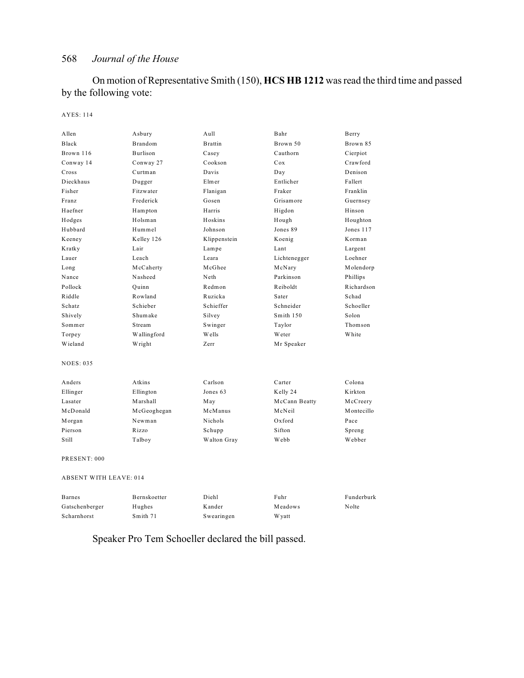On motion of Representative Smith (150), **HCS HB 1212** was read the third time and passed by the following vote:

#### AYES: 114

| Allen                         | Asbury       | Aull           | Bahr          | Berry      |
|-------------------------------|--------------|----------------|---------------|------------|
| <b>Black</b>                  | Brandom      | <b>Brattin</b> | Brown 50      | Brown 85   |
| Brown 116                     | Burlison     | Casey          | Cauthorn      | Cierpiot   |
| Conway 14                     | Conway 27    | Cookson        | Cox           | Crawford   |
| Cross                         | Curtman      | Davis          | Day           | Denison    |
| Dieckhaus                     | Dugger       | Elmer          | Entlicher     | Fallert    |
| Fisher                        | Fitzwater    | Flanigan       | Fraker        | Franklin   |
| Franz                         | Frederick    | Gosen          | Grisamore     | Guernsey   |
| Haefner                       | Hampton      | Harris         | Higdon        | Hinson     |
| Hodges                        | Holsman      | Hoskins        | Hough         | Houghton   |
| Hubbard                       | Hummel       | Johnson        | Jones 89      | Jones 117  |
| Keeney                        | Kelley 126   | Klippenstein   | Koenig        | Korman     |
| Kratky                        | Lair         | Lampe          | Lant          | Largent    |
| Lauer                         | Leach        | Leara          | Lichtenegger  | Loehner    |
| Long                          | McCaherty    | McGhee         | McNary        | Molendorp  |
| Nance                         | Nasheed      | Neth           | Parkinson     | Phillips   |
| Pollock                       | Quinn        | Redmon         | Reiboldt      | Richardson |
| Riddle                        | Rowland      | Ruzicka        | Sater         | Schad      |
| Schatz                        | Schieber     | Schieffer      | Schneider     | Schoeller  |
| Shively                       | Shumake      | Silvey         | Smith 150     | Solon      |
| Sommer                        | Stream       | Swinger        | Taylor        | Thomson    |
| Torpey                        | Wallingford  | W ells         | Weter         | White      |
| Wieland                       | Wright       | Zerr           | Mr Speaker    |            |
| <b>NOES: 035</b>              |              |                |               |            |
| Anders                        | Atkins       | Carlson        | Carter        | Colona     |
| Ellinger                      | Ellington    | Jones 63       | Kelly 24      | Kirkton    |
| Lasater                       | Marshall     | May            | McCann Beatty | McCreery   |
| McDonald                      | McGeoghegan  | McManus        | McNeil        | Montecillo |
| Morgan                        | Newman       | Nichols        | Oxford        | Pace       |
| Pierson                       | Rizzo        | Schupp         | Sifton        | Spreng     |
| Still                         | Talboy       | Walton Gray    | Webb          | Webber     |
| PRESENT: 000                  |              |                |               |            |
| <b>ABSENT WITH LEAVE: 014</b> |              |                |               |            |
| <b>Barnes</b>                 | Bernskoetter | Diehl          | Fuhr          | Funderburk |
| Gatschenberger                | Hughes       | Kander         | Meadows       | Nolte      |
| Scharnhorst                   | Smith 71     | Swearingen     | W yatt        |            |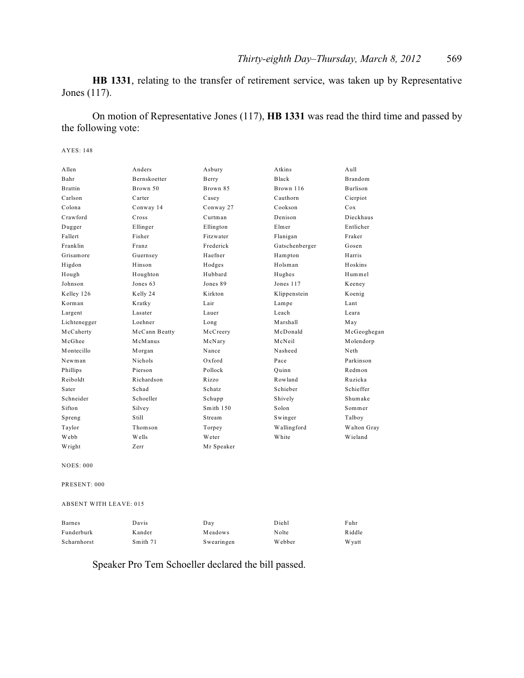**HB 1331**, relating to the transfer of retirement service, was taken up by Representative Jones (117).

On motion of Representative Jones (117), **HB 1331** was read the third time and passed by the following vote:

#### AYES: 148

| Allen            | Anders              | Asbury     | Atkins         | Aull           |
|------------------|---------------------|------------|----------------|----------------|
| Bahr             | <b>Bernskoetter</b> | Berry      | <b>Black</b>   | <b>Brandom</b> |
| <b>Brattin</b>   | Brown 50            | Brown 85   | Brown 116      | Burlison       |
| Carlson          | Carter              | Casey      | Cauthorn       | Cierpiot       |
| Colona           | Conway 14           | Conway 27  | Cookson        | Cox            |
| Crawford         | Cross               | Curtman    | Denison        | Dieckhaus      |
| Dugger           | Ellinger            | Ellington  | Elmer          | Entlicher      |
| Fallert          | Fisher              | Fitzwater  | Flanigan       | Fraker         |
| Franklin         | Franz               | Frederick  | Gatschenberger | Gosen          |
| Grisamore        | Guernsey            | Haefner    | Hampton        | Harris         |
| Higdon           | Hinson              | Hodges     | Holsman        | Hoskins        |
| Hough            | Houghton            | Hubbard    | Hughes         | Hummel         |
| Johnson          | Jones 63            | Jones 89   | Jones 117      | Keeney         |
| Kelley 126       | Kelly 24            | K irkton   | Klippenstein   | Koenig         |
| Korman           | Kratky              | Lair       | Lampe          | Lant           |
| Largent          | Lasater             | Lauer      | Leach          | Leara          |
| Lichtenegger     | Loehner             | Long       | Marshall       | May            |
| McCaherty        | McCann Beatty       | McCreery   | McDonald       | McGeoghegan    |
| McGhee           | McManus             | McNary     | McNeil         | Molendorp      |
| Montecillo       | Morgan              | Nance      | Nasheed        | Neth           |
| Newman           | Nichols             | Oxford     | Pace           | Parkinson      |
| Phillips         | Pierson             | Pollock    | Ouinn          | Redmon         |
| Reiboldt         | Richardson          | Rizzo      | Rowland        | Ruzicka        |
| Sater            | Schad               | Schatz     | Schieber       | Schieffer      |
| Schneider        | Schoeller           | Schupp     | Shively        | Shumake        |
| Sifton           | Silvey              | Smith 150  | Solon          | Sommer         |
| Spreng           | Still               | Stream     | Swinger        | Talboy         |
| Taylor           | Thomson             | Torpey     | Wallingford    | Walton Gray    |
| Webb             | Wells               | Weter      | White          | Wieland        |
| Wright           | Zerr                | Mr Speaker |                |                |
| <b>NOES: 000</b> |                     |            |                |                |

PRESENT: 000

#### ABSENT WITH LEAVE: 015

| <b>Barnes</b> | Davis    | Day        | Diehl  | Fuhr          |
|---------------|----------|------------|--------|---------------|
| Funderburk    | Kander   | Meadows    | Nolte  | Riddle        |
| Scharnhorst   | Smith 71 | Swearingen | Webber | <b>W</b> vatt |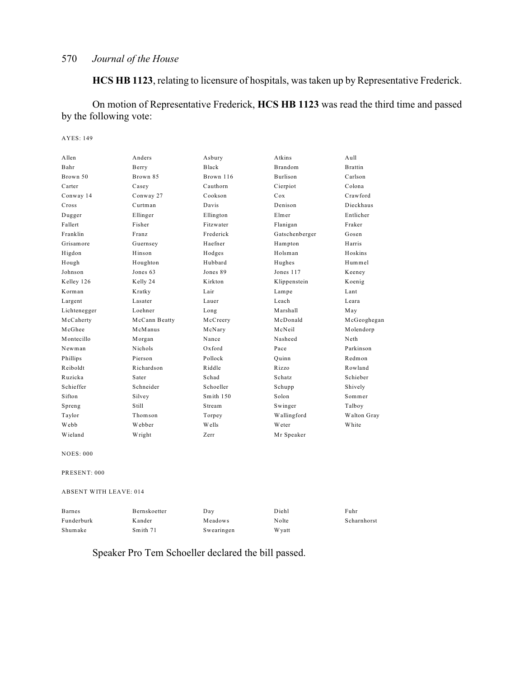**HCS HB 1123**, relating to licensure of hospitals, was taken up by Representative Frederick.

On motion of Representative Frederick, **HCS HB 1123** was read the third time and passed by the following vote:

AYES: 149

| Allen            | Anders        | Asbury    | Atkins         | Aull           |
|------------------|---------------|-----------|----------------|----------------|
| Bahr             | Berry         | Black     | <b>Brandom</b> | <b>Brattin</b> |
| Brown 50         | Brown 85      | Brown 116 | Burlison       | Carlson        |
| Carter           | Casey         | Cauthorn  | Cierpiot       | Colona         |
| Conway 14        | Conway 27     | Cookson   | Cox            | Crawford       |
| Cross            | Curtman       | Davis     | Denison        | Dieckhaus      |
| Dugger           | Ellinger      | Ellington | Elmer          | Entlicher      |
| Fallert          | Fisher        | Fitzwater | Flanigan       | Fraker         |
| Franklin         | Franz         | Frederick | Gatschenberger | Gosen          |
| Grisamore        | Guernsey      | Haefner   | Hampton        | Harris         |
| Higdon           | Hinson        | Hodges    | Holsman        | Hoskins        |
| Hough            | Houghton      | Hubbard   | Hughes         | Hummel         |
| Johnson          | Jones 63      | Jones 89  | Jones 117      | Keeney         |
| Kelley 126       | Kelly 24      | Kirkton   | Klippenstein   | Koenig         |
| Korman           | Kratky        | Lair      | Lampe          | Lant           |
| Largent          | Lasater       | Lauer     | Leach          | Leara          |
| Lichtenegger     | Loehner       | Long      | Marshall       | May            |
| McCaherty        | McCann Beatty | McCreery  | McDonald       | McGeoghegan    |
| McGhee           | McManus       | McNary    | McNeil         | Molendorp      |
| Montecillo       | Morgan        | Nance     | Nasheed        | Neth           |
| Newman           | Nichols       | $Ox$ ford | Pace           | Parkinson      |
| Phillips         | Pierson       | Pollock   | Ouinn          | Redmon         |
| Reiboldt         | Richardson    | Riddle    | Rizzo          | Rowland        |
| Ruzicka          | Sater         | Schad     | Schatz         | Schieber       |
| Schieffer        | Schneider     | Schoeller | Schupp         | Shively        |
| Sifton           | Silvey        | Smith 150 | Solon          | Sommer         |
| Spreng           | Still         | Stream    | Swinger        | Talboy         |
| Taylor           | Thomson       | Torpey    | Wallingford    | Walton Gray    |
| Webb             | Webber        | Wells     | Weter          | White          |
| Wieland          | Wright        | Zerr      | Mr Speaker     |                |
| <b>NOES: 000</b> |               |           |                |                |
| PRESENT: 000     |               |           |                |                |

ABSENT WITH LEAVE: 014

| <b>Barnes</b> | Bernskoetter | Day        | Diehl  | Fuhr        |
|---------------|--------------|------------|--------|-------------|
| Funderburk    | Kander       | Meadows    | Nolte  | Scharnhorst |
| Shumake       | Smith 71     | Swearingen | W yatt |             |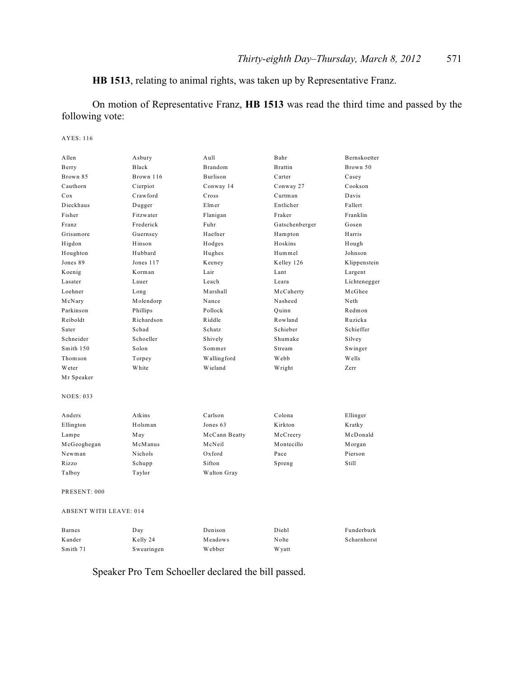**HB 1513**, relating to animal rights, was taken up by Representative Franz.

On motion of Representative Franz, **HB 1513** was read the third time and passed by the following vote:

#### AYES: 116

| Allen                         | Asbury     | A <sub>u</sub> 11 | Bahr           | Bernskoetter |
|-------------------------------|------------|-------------------|----------------|--------------|
| Berry                         | Black      | <b>Brandom</b>    | <b>Brattin</b> | Brown 50     |
| Brown 85                      | Brown 116  | Burlison          | Carter         | Casey        |
| Cauthorn                      | Cierpiot   | Conway 14         | Conway 27      | Cookson      |
| Cox                           | Crawford   | Cross             | Curtman        | Davis        |
| Dieckhaus                     | Dugger     | Elmer             | Entlicher      | Fallert      |
| Fisher                        | Fitzwater  | Flanigan          | Fraker         | Franklin     |
| Franz                         | Frederick  | Fuhr              | Gatschenberger | Gosen        |
| Grisamore                     | Guernsey   | Haefner           | Hampton        | Harris       |
| Higdon                        | Hinson     | Hodges            | Hoskins        | Hough        |
| Houghton                      | Hubbard    | Hughes            | Hummel         | Johnson      |
| Jones 89                      | Jones 117  | Keeney            | Kelley 126     | Klippenstein |
| Koenig                        | Korman     | Lair              | Lant           | Largent      |
| Lasater                       | Lauer      | Leach             | Leara          | Lichtenegger |
| Loehner                       | Long       | Marshall          | McCaherty      | McGhee       |
| McNary                        | Molendorp  | Nance             | Nasheed        | Neth         |
| Parkinson                     | Phillips   | Pollock           | Ouinn          | Redmon       |
| Reiboldt                      | Richardson | Riddle            | Rowland        | Ruzicka      |
| Sater                         | Schad      | Schatz            | Schieber       | Schieffer    |
| Schneider                     | Schoeller  | Shively           | Shumake        | Silvey       |
| Smith 150                     | Solon      | Sommer            | Stream         | Swinger      |
| Thomson                       | Torpey     | Wallingford       | Webb           | Wells        |
| Weter                         | White      | Wieland           | Wright         | Zerr         |
| Mr Speaker                    |            |                   |                |              |
| NOES: 033                     |            |                   |                |              |
| Anders                        | Atkins     | Carlson           | Colona         | Ellinger     |
| Ellington                     | Holsman    | Jones 63          | Kirkton        | Kratky       |
| Lampe                         | May        | McCann Beatty     | McCreery       | McDonald     |
| McGeoghegan                   | McManus    | McNeil            | Montecillo     | Morgan       |
| Newman                        | Nichols    | Oxford            | Pace           | Pierson      |
| Rizzo                         | Schupp     | Sifton            | Spreng         | Still        |
| Talboy                        | Taylor     | Walton Gray       |                |              |
| PRESENT: 000                  |            |                   |                |              |
| <b>ABSENT WITH LEAVE: 014</b> |            |                   |                |              |
| Barnes                        | Day        | Denison           | Diehl          | Funderburk   |

Speaker Pro Tem Schoeller declared the bill passed.

Smith 71 Swearingen Webber Wyatt

Kander Kelly 24 Meadows Nolte Scharnhorst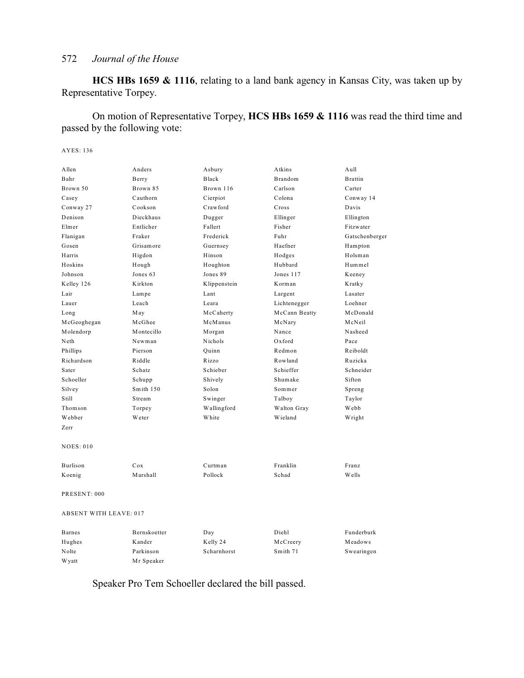**HCS HBs 1659 & 1116**, relating to a land bank agency in Kansas City, was taken up by Representative Torpey.

On motion of Representative Torpey, **HCS HBs 1659 & 1116** was read the third time and passed by the following vote:

AYES: 136

| Allen                         | Anders       | Asbury       | Atkins         | Aull           |  |
|-------------------------------|--------------|--------------|----------------|----------------|--|
| Bahr                          | Berry        | <b>Black</b> | <b>Brandom</b> | <b>Brattin</b> |  |
| Brown 50                      | Brown 85     | Brown 116    | Carlson        | Carter         |  |
| Casey                         | Cauthorn     | Cierpiot     | Colona         | Conway 14      |  |
| Conway 27                     | Cookson      | Crawford     | Cross          | Davis          |  |
| Denison                       | Dieckhaus    | Dugger       | Ellinger       | Ellington      |  |
| Elmer                         | Entlicher    | Fallert      | Fisher         | Fitzwater      |  |
| Flanigan                      | Fraker       | Frederick    | Fuhr           | Gatschenberger |  |
| Gosen                         | Grisamore    | Guernsey     | Haefner        | Hampton        |  |
| Harris                        | Higdon       | Hinson       | Hodges         | Holsman        |  |
| Hoskins                       | Hough        | Houghton     | Hubbard        | Hummel         |  |
| Johnson                       | Jones 63     | Jones 89     | Jones 117      | Keeney         |  |
| Kelley 126                    | Kirkton      | Klippenstein | Korman         | Kratky         |  |
| Lair                          | Lampe        | Lant         | Largent        | Lasater        |  |
| Lauer                         | Leach        | Leara        | Lichtenegger   | Loehner        |  |
| Long                          | May          | McCaherty    | McCann Beatty  | McDonald       |  |
| McGeoghegan                   | McGhee       | McManus      | McNary         | McNeil         |  |
| Molendorp                     | Montecillo   | Morgan       | Nance          | Nasheed        |  |
| Neth                          | Newman       | Nichols      | Oxford         | Pace           |  |
| Phillips                      | Pierson      | Ouinn        | Redmon         | Reiboldt       |  |
| Richardson                    | Riddle       | Rizzo        | Rowland        | Ruzicka        |  |
| Sater                         | Schatz       | Schieber     | Schieffer      | Schneider      |  |
| Schoeller                     | Schupp       | Shively      | Shumake        | Sifton         |  |
| Silvey                        | Smith 150    | Solon        | Sommer         | Spreng         |  |
| <b>Still</b>                  | Stream       | Swinger      | Talboy         | Taylor         |  |
| Thomson                       | Torpey       | Wallingford  | Walton Gray    | Webb           |  |
| Webber                        | Weter        | White        | Wieland        | Wright         |  |
| Zerr                          |              |              |                |                |  |
| <b>NOES: 010</b>              |              |              |                |                |  |
| Burlison                      | Cox          | Curtman      | Franklin       | Franz          |  |
| Koenig                        | Marshall     | Pollock      | Schad          | Wells          |  |
| PRESENT: 000                  |              |              |                |                |  |
| <b>ABSENT WITH LEAVE: 017</b> |              |              |                |                |  |
| <b>Barnes</b>                 | Bernskoetter | Day          | Diehl          | Funderburk     |  |
| Hughes                        | Kander       | Kelly 24     | McCreery       | Meadows        |  |
| Nolte                         | Parkinson    | Scharnhorst  | Smith 71       | Swearingen     |  |
| W yatt                        | Mr Speaker   |              |                |                |  |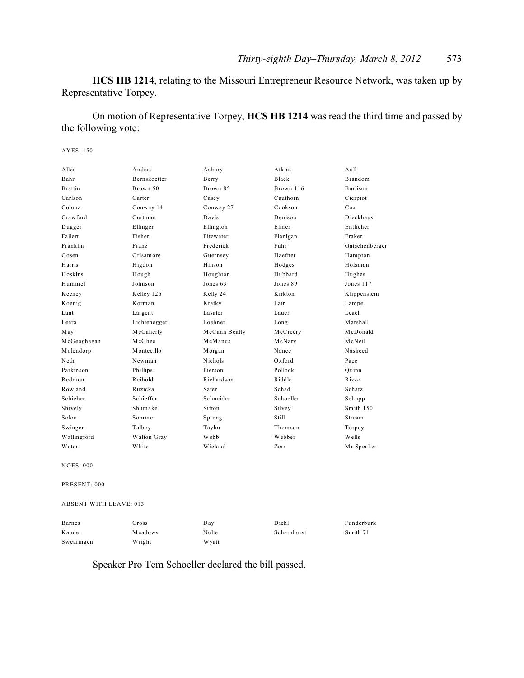**HCS HB 1214**, relating to the Missouri Entrepreneur Resource Network, was taken up by Representative Torpey.

On motion of Representative Torpey, **HCS HB 1214** was read the third time and passed by the following vote:

AYES: 150

| Allen                         | Anders       | Asbury        | Atkins       | A <sub>u</sub> 11 |
|-------------------------------|--------------|---------------|--------------|-------------------|
| Bahr                          | Bernskoetter | Berry         | <b>Black</b> | Brandom           |
| <b>Brattin</b>                | Brown 50     | Brown 85      | Brown 116    | Burlison          |
| Carlson                       | Carter       | Casey         | Cauthorn     | Cierpiot          |
| Colona                        | Conway 14    | Conway 27     | Cookson      | Cox               |
| Crawford                      | Curtman      | Davis         | Denison      | Dieckhaus         |
| Dugger                        | Ellinger     | Ellington     | Elmer        | Entlicher         |
| Fallert                       | Fisher       | Fitzwater     | Flanigan     | Fraker            |
| Franklin                      | Franz        | Frederick     | Fuhr         | Gatschenberger    |
| Gosen                         | Grisamore    | Guernsey      | Haefner      | Hampton           |
| Harris                        | Higdon       | Hinson        | Hodges       | Holsman           |
| Hoskins                       | Hough        | Houghton      | Hubbard      | Hughes            |
| Hummel                        | Johnson      | Jones 63      | Jones 89     | Jones 117         |
| Keeney                        | Kelley 126   | Kelly 24      | K irkton     | Klippenstein      |
| Koenig                        | Korman       | Kratky        | Lair         | Lampe             |
| Lant                          | Largent      | Lasater       | Lauer        | Leach             |
| Leara                         | Lichtenegger | Loehner       | Long         | Marshall          |
| May                           | McCaherty    | McCann Beatty | McCreery     | McDonald          |
| McGeoghegan                   | McGhee       | McManus       | McNary       | McNeil            |
| Molendorp                     | Montecillo   | Morgan        | Nance        | Nasheed           |
| Neth                          | Newman       | Nichols       | $Ox$ ford    | Pace              |
| Parkinson                     | Phillips     | Pierson       | Pollock      | Ouinn             |
| Redmon                        | Reiboldt     | Richardson    | Riddle       | Rizzo             |
| Rowland                       | Ruzicka      | Sater         | Schad        | Schatz            |
| Schieber                      | Schieffer    | Schneider     | Schoeller    | Schupp            |
| Shively                       | Shumake      | Sifton        | Silvey       | Smith 150         |
| Solon                         | Sommer       | Spreng        | Still        | Stream            |
| Swinger                       | Talboy       | Taylor        | Thomson      | Torpey            |
| Wallingford                   | Walton Gray  | Webb          | Webber       | Wells             |
| <b>W</b> eter                 | White        | Wieland       | Zerr         | Mr Speaker        |
| <b>NOES: 000</b>              |              |               |              |                   |
| PRESENT: 000                  |              |               |              |                   |
| <b>ABSENT WITH LEAVE: 013</b> |              |               |              |                   |

Barnes Cross Day Diehl Funderburk Kander Meadows Nolte Scharnhorst Smith 71 Swearingen Wright Wyatt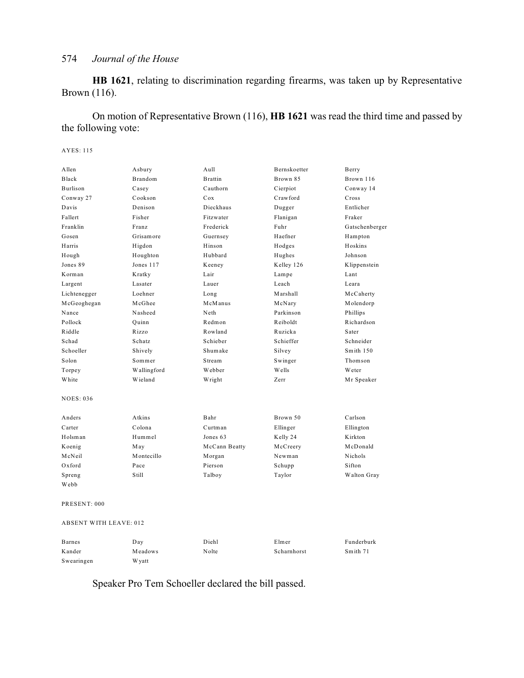**HB 1621**, relating to discrimination regarding firearms, was taken up by Representative Brown (116).

On motion of Representative Brown (116), **HB 1621** was read the third time and passed by the following vote:

#### AYES: 115

| Allen                         | Asbury      | Aull            | Bernskoetter | Berry          |
|-------------------------------|-------------|-----------------|--------------|----------------|
| Black                         | Brandom     | <b>Brattin</b>  | Brown 85     | Brown 116      |
| Burlison                      | Casey       | Cauthorn        | Cierpiot     | Conway 14      |
| Conway 27                     | Cookson     | C <sub>ox</sub> | Crawford     | Cross          |
| Davis                         | Denison     | Dieckhaus       | Dugger       | Entlicher      |
| Fallert                       | Fisher      | Fitzwater       | Flanigan     | Fraker         |
| Franklin                      | Franz       | Frederick       | Fuhr         | Gatschenberger |
| Gosen                         | Grisamore   | Guernsey        | Haefner      | Hampton        |
| Harris                        | Higdon      | Hinson          | Hodges       | Hoskins        |
| Hough                         | Houghton    | Hubbard         | Hughes       | Johnson        |
| Jones 89                      | Jones 117   | Keeney          | Kelley 126   | Klippenstein   |
| Korman                        | Kratky      | Lair            | Lampe        | Lant           |
| Largent                       | Lasater     | Lauer           | Leach        | Leara          |
| Lichtenegger                  | Loehner     | Long            | Marshall     | McCaherty      |
| McGeoghegan                   | McGhee      | McManus         | McNary       | Molendorp      |
| Nance                         | Nasheed     | Neth            | Parkinson    | Phillips       |
| Pollock                       | Ouinn       | Redmon          | Reiboldt     | Richardson     |
| Riddle                        | Rizzo       | Rowland         | Ruzicka      | Sater          |
| Schad                         | Schatz      | Schieber        | Schieffer    | Schneider      |
| Schoeller                     | Shively     | Shumake         | Silvey       | Smith 150      |
| Solon                         | Sommer      | Stream          | Swinger      | Thomson        |
| Torpey                        | Wallingford | Webber          | Wells        | Weter          |
| White                         | Wieland     | Wright          | Zerr         | Mr Speaker     |
| NOES: 036                     |             |                 |              |                |
| Anders                        | Atkins      | Bahr            | Brown 50     | Carlson        |
| Carter                        | Colona      | Curtman         | Ellinger     | Ellington      |
| Holsman                       | Hummel      | Jones 63        | Kelly 24     | Kirkton        |
| Koenig                        | May         | McCann Beatty   | McCreery     | McDonald       |
| McNeil                        | Montecillo  | Morgan          | Newman       | Nichols        |
| Oxford                        | Pace        | Pierson         | Schupp       | Sifton         |
| Spreng                        | Still       | Talboy          | Taylor       | Walton Gray    |
| Webb                          |             |                 |              |                |
| PRESENT: 000                  |             |                 |              |                |
| <b>ABSENT WITH LEAVE: 012</b> |             |                 |              |                |
| Barnes                        | Day         | Diehl           | Elmer        | Funderburk     |

Speaker Pro Tem Schoeller declared the bill passed.

Swearingen Wyatt

Kander Meadows Nolte Scharnhorst Smith 71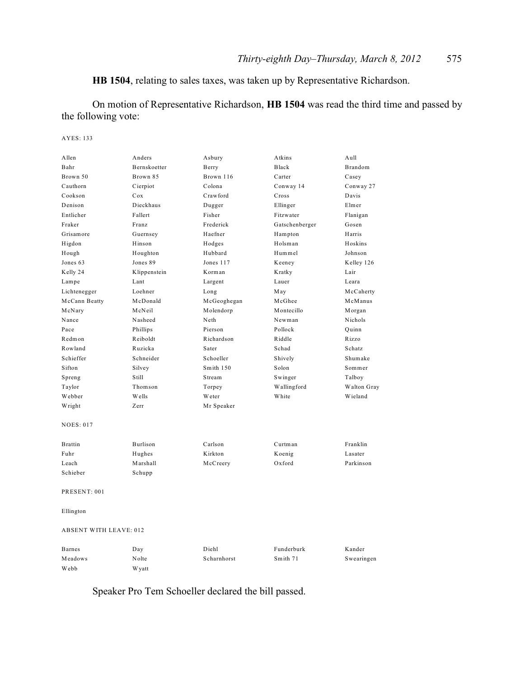**HB 1504**, relating to sales taxes, was taken up by Representative Richardson.

On motion of Representative Richardson, **HB 1504** was read the third time and passed by the following vote:

#### AYES: 133

| Allen                         | Anders       | Asbury      | Atkins         | Aull        |
|-------------------------------|--------------|-------------|----------------|-------------|
| Bahr                          | Bernskoetter | Berry       | Black          | Brandom     |
| Brown 50                      | Brown 85     | Brown 116   | Carter         | Casey       |
| Cauthorn                      | Cierpiot     | Colona      | Conway 14      | Conway 27   |
| Cookson                       | Cox          | Crawford    | Cross          | Davis       |
| Denison                       | Dieckhaus    | Dugger      | Ellinger       | Elmer       |
| Entlicher                     | Fallert      | Fisher      | Fitzwater      | Flanigan    |
| Fraker                        | Franz        | Frederick   | Gatschenberger | Gosen       |
| Grisamore                     | Guernsey     | Haefner     | Hampton        | Harris      |
| Higdon                        | Hinson       | Hodges      | Holsman        | Hoskins     |
| Hough                         | Houghton     | Hubbard     | Hummel         | Johnson     |
| Jones 63                      | Jones 89     | Jones 117   | Keeney         | Kelley 126  |
| Kelly 24                      | Klippenstein | Korman      | Kratky         | Lair        |
| Lampe                         | Lant         | Largent     | Lauer          | Leara       |
| Lichtenegger                  | Loehner      | Long        | May            | McCaherty   |
| McCann Beatty                 | McDonald     | McGeoghegan | McGhee         | McManus     |
| McNary                        | McNeil       | Molendorp   | Montecillo     | Morgan      |
| Nance                         | Nasheed      | Neth        | Newman         | Nichols     |
| Pace                          | Phillips     | Pierson     | Pollock        | Quinn       |
| Redmon                        | Reiboldt     | Richardson  | Riddle         | Rizzo       |
| Rowland                       | Ruzicka      | Sater       | Schad          | Schatz      |
| Schieffer                     | Schneider    | Schoeller   | Shively        | Shumake     |
| Sifton                        | Silvey       | Smith 150   | Solon          | Sommer      |
| Spreng                        | Still        | Stream      | Swinger        | Talboy      |
| Taylor                        | Thomson      | Torpey      | Wallingford    | Walton Gray |
| Webber                        | Wells        | Weter       | White          | Wieland     |
| Wright                        | Zerr         | Mr Speaker  |                |             |
| <b>NOES: 017</b>              |              |             |                |             |
|                               |              |             |                |             |
| <b>Brattin</b>                | Burlison     | Carlson     | Curtman        | Franklin    |
| Fuhr                          | Hughes       | Kirkton     | Koenig         | Lasater     |
| Leach                         | Marshall     | McCreery    | Oxford         | Parkinson   |
| Schieber                      | Schupp       |             |                |             |
| PRESENT: 001                  |              |             |                |             |
| Ellington                     |              |             |                |             |
|                               |              |             |                |             |
| <b>ABSENT WITH LEAVE: 012</b> |              |             |                |             |
| <b>Barnes</b>                 | Day          | Diehl       | Funderburk     | Kander      |
| Meadows                       | Nolte        | Scharnhorst | Smith 71       | Swearingen  |
| Webb                          | W yatt       |             |                |             |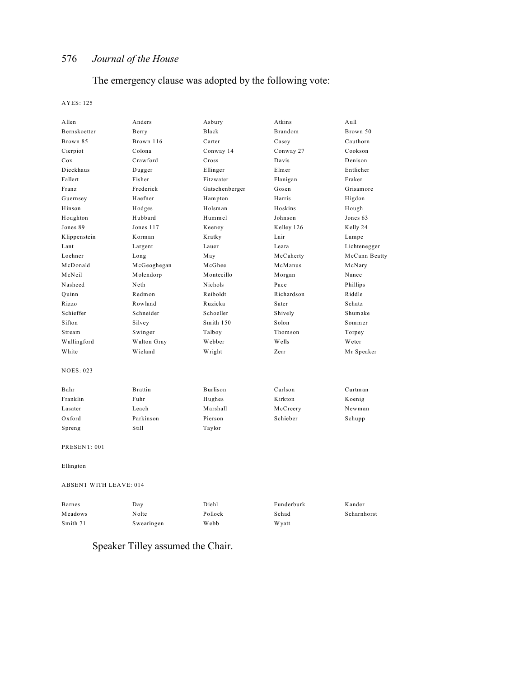# The emergency clause was adopted by the following vote:

#### AYES: 125

| Allen            | Anders         | Asbury         | Atkins     | Aull          |
|------------------|----------------|----------------|------------|---------------|
| Bernskoetter     | Berry          | Black          | Brandom    | Brown 50      |
| Brown 85         | Brown 116      | Carter         | Casey      | Cauthorn      |
| Cierpiot         | Colona         | Conway 14      | Conway 27  | Cookson       |
| Cox              | Crawford       | Cross          | Davis      | Denison       |
| Dieckhaus        | Dugger         | Ellinger       | Elmer      | Entlicher     |
| Fallert          | Fisher         | Fitzwater      | Flanigan   | Fraker        |
| Franz            | Frederick      | Gatschenberger | Gosen      | Grisamore     |
| Guernsey         | Haefner        | Hampton        | Harris     | Higdon        |
| Hinson           | Hodges         | Holsman        | Hoskins    | Hough         |
| Houghton         | Hubbard        | Hummel         | Johnson    | Jones 63      |
| Jones 89         | Jones 117      | Keeney         | Kelley 126 | Kelly 24      |
| Klippenstein     | Korman         | Kratky         | Lair       | Lampe         |
| Lant             | Largent        | Lauer          | Leara      | Lichtenegger  |
| Loehner          | Long           | May            | McCaherty  | McCann Beatty |
| McDonald         | McGeoghegan    | McGhee         | McManus    | McNary        |
| McNeil           | Molendorp      | Montecillo     | Morgan     | Nance         |
| Nasheed          | Neth           | Nichols        | Pace       | Phillips      |
| Quinn            | Redmon         | Reiboldt       | Richardson | Riddle        |
| Rizzo            | Rowland        | Ruzicka        | Sater      | Schatz        |
| Schieffer        | Schneider      | Schoeller      | Shively    | Shumake       |
| Sifton           | Silvey         | Smith 150      | Solon      | Sommer        |
| Stream           | Swinger        | Talboy         | Thomson    | Torpey        |
| Wallingford      | Walton Gray    | Webber         | Wells      | Weter         |
| White            | Wieland        | Wright         | Zerr       | Mr Speaker    |
| <b>NOES: 023</b> |                |                |            |               |
| Bahr             | <b>Brattin</b> | Burlison       | Carlson    | Curtman       |
| Franklin         | Fuhr           | Hughes         | Kirkton    | Koenig        |
| Lasater          | Leach          | Marshall       | McCreery   | Newman        |
| Oxford           | Parkinson      | Pierson        | Schieber   | Schupp        |
| Spreng           | Still          | Taylor         |            |               |
| PRESENT: 001     |                |                |            |               |
| Ellington        |                |                |            |               |

ABSENT WITH LEAVE: 014

| <b>Barnes</b> | Day        | Diehl   | Funderburk | Kander      |
|---------------|------------|---------|------------|-------------|
| Meadows       | Nolte      | Pollock | Schad      | Scharnhorst |
| Smith 71      | Swearingen | Webb    | W yatt     |             |

Speaker Tilley assumed the Chair.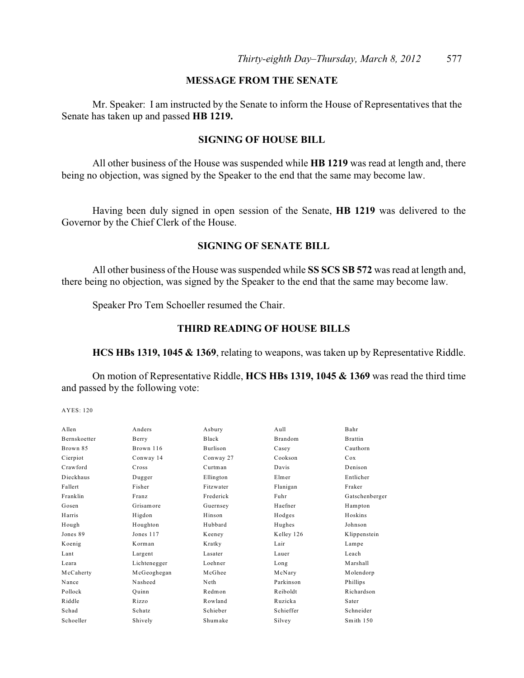### **MESSAGE FROM THE SENATE**

Mr. Speaker: I am instructed by the Senate to inform the House of Representatives that the Senate has taken up and passed **HB 1219.**

#### **SIGNING OF HOUSE BILL**

All other business of the House was suspended while **HB 1219** was read at length and, there being no objection, was signed by the Speaker to the end that the same may become law.

Having been duly signed in open session of the Senate, **HB 1219** was delivered to the Governor by the Chief Clerk of the House.

#### **SIGNING OF SENATE BILL**

All other business of the House was suspended while **SS SCS SB 572** was read at length and, there being no objection, was signed by the Speaker to the end that the same may become law.

Speaker Pro Tem Schoeller resumed the Chair.

#### **THIRD READING OF HOUSE BILLS**

**HCS HBs 1319, 1045 & 1369**, relating to weapons, was taken up by Representative Riddle.

On motion of Representative Riddle, **HCS HBs 1319, 1045 & 1369** was read the third time and passed by the following vote:

| Anders       | Asbury    | Aull       | Bahr           |
|--------------|-----------|------------|----------------|
| Berry        | Black     | Brandom    | <b>Brattin</b> |
| Brown 116    | Burlison  | Casey      | Cauthorn       |
| Conway 14    | Conway 27 | Cookson    | Cox            |
| Cross        | Curtman   | Davis      | Denison        |
| Dugger       | Ellington | Elmer      | Entlicher      |
| Fisher       | Fitzwater | Flanigan   | Fraker         |
| Franz        | Frederick | Fuhr       | Gatschenberger |
| Grisamore    | Guernsey  | Haefner    | Hampton        |
| Higdon       | Hinson    | Hodges     | Hoskins        |
| Houghton     | Hubbard   | Hughes     | Johnson        |
| Jones 117    | Keeney    | Kelley 126 | Klippenstein   |
| Korman       | Kratky    | Lair       | Lampe          |
| Largent      | Lasater   | Lauer      | Leach          |
| Lichtenegger | Loehner   | Long       | Marshall       |
| McGeoghegan  | McGhee    | McNary     | Molendorp      |
| Nasheed      | Neth      | Parkinson  | Phillips       |
| Ouinn        | Redmon    | Reiboldt   | Richardson     |
| Rizzo        | Rowland   | Ruzicka    | Sater          |
| Schatz       | Schieber  | Schieffer  | Schneider      |
| Shively      | Shumake   | Silvey     | Smith 150      |
|              |           |            |                |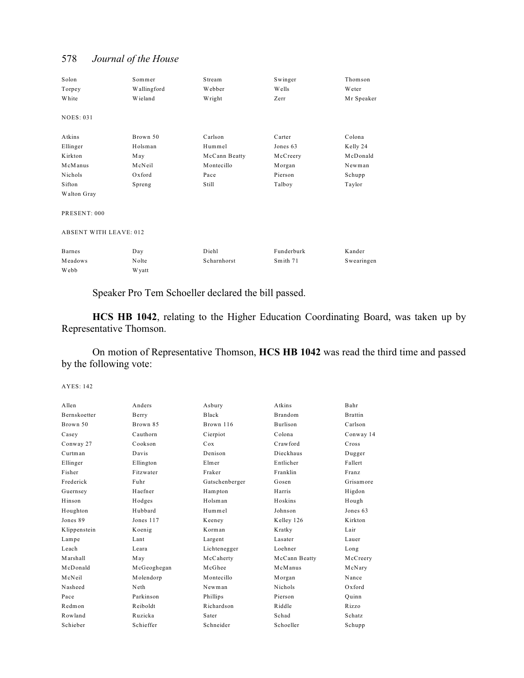| Solon                         | Sommer       | Stream        | Swinger    | Thomson       |
|-------------------------------|--------------|---------------|------------|---------------|
| Torpey                        | Wallingford  | Webber        | Wells      | <b>W</b> eter |
| White                         | Wieland      | Wright        | Zerr       | Mr Speaker    |
| <b>NOES: 031</b>              |              |               |            |               |
| Atkins                        | Brown 50     | Carlson       | Carter     | Colona        |
| Ellinger                      | Holsman      | Hummel        | Jones 63   | Kelly 24      |
| Kirkton                       | May          | McCann Beatty | McCreery   | McDonald      |
| McManus                       | McNeil       | Montecillo    | Morgan     | Newman        |
| Nichols                       | Oxford       | Pace          | Pierson    | Schupp        |
| Sifton                        | Spreng       | Still         | Talboy     | Taylor        |
| Walton Gray                   |              |               |            |               |
| PRESENT: 000                  |              |               |            |               |
| <b>ABSENT WITH LEAVE: 012</b> |              |               |            |               |
| <b>Barnes</b>                 | Day          | Diehl         | Funderburk | Kander        |
| Meadows                       | Nolte        | Scharnhorst   | Smith 71   | Swearingen    |
| Webb                          | <b>Wyatt</b> |               |            |               |

Speaker Pro Tem Schoeller declared the bill passed.

**HCS HB 1042**, relating to the Higher Education Coordinating Board, was taken up by Representative Thomson.

On motion of Representative Thomson, **HCS HB 1042** was read the third time and passed by the following vote:

| A llen              | Anders      | Asbury         | Atkins          | Bahr           |
|---------------------|-------------|----------------|-----------------|----------------|
| <b>Bernskoetter</b> | Berry       | Black          | <b>Brandom</b>  | <b>Brattin</b> |
| Brown 50            | Brown 85    | Brown 116      | <b>Burlison</b> | Carlson        |
| Casey               | Cauthorn    | Cierpiot       | Colona          | Conway 14      |
| Conway 27           | Cookson     | Cox            | Crawford        | Cross          |
| Curtman             | Davis       | Denison        | Dieckhaus       | Dugger         |
| Ellinger            | Ellington   | Elmer          | Entlicher       | Fallert        |
| Fisher              | Fitzwater   | Fraker         | Franklin        | Franz          |
| Frederick           | Fuhr        | Gatschenberger | Gosen           | Grisamore      |
| Guernsey            | Haefner     | Hampton        | Harris          | Higdon         |
| Hinson              | Hodges      | Holsman        | Hoskins         | Hough          |
| Houghton            | Hubbard     | Hummel         | Johnson         | Jones 63       |
| Jones 89            | Jones 117   | Keeney         | Kelley 126      | K irkton       |
| Klippenstein        | Koenig      | Korman         | Kratky          | Lair           |
| Lampe               | Lant        | Largent        | Lasater         | Lauer          |
| Leach               | Leara       | Lichtenegger   | Loehner         | Long           |
| Marshall            | May         | McCaherty      | McCann Beatty   | McCreery       |
| McDonald            | McGeoghegan | McGhee         | McManus         | McNary         |
| McNeil              | Molendorp   | Montecillo     | Morgan          | Nance          |
| Nasheed             | Neth        | Newman         | Nichols         | $Ox$ ford      |
| Pace                | Parkinson   | Phillips       | Pierson         | Ouinn          |
| Redmon              | Reiboldt    | Richardson     | Riddle          | Rizzo          |
| Rowland             | Ruzicka     | Sater          | Schad           | Schatz         |
| Schieber            | Schieffer   | Schneider      | Schoeller       | Schupp         |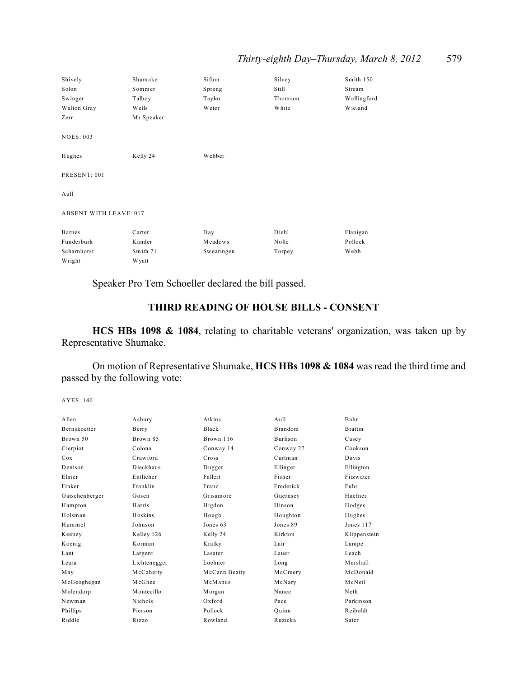| Shively                       | Shumake    | Sifton     | Silvey  | Smith 150   |
|-------------------------------|------------|------------|---------|-------------|
| Solon                         | Sommer     | Spreng     | Still   | Stream      |
| Swinger                       | Talboy     | Taylor     | Thomson | Wallingford |
| Walton Gray                   | Wells      | Weter      | White   | Wieland     |
| Zerr                          | Mr Speaker |            |         |             |
| <b>NOES: 003</b>              |            |            |         |             |
| Hughes                        | Kelly 24   | Webber     |         |             |
| PRESENT: 001                  |            |            |         |             |
| Aull                          |            |            |         |             |
| <b>ABSENT WITH LEAVE: 017</b> |            |            |         |             |
| Barnes                        | Carter     | Day        | Diehl   | Flanigan    |
| Funderburk                    | Kander     | Meadows    | Nolte   | Pollock     |
| Scharnhorst                   | Smith 71   | Swearingen | Torpey  | Webb        |
| Wright                        | W yatt     |            |         |             |

Speaker Pro Tem Schoeller declared the bill passed.

# **THIRD READING OF HOUSE BILLS - CONSENT**

**HCS HBs 1098 & 1084**, relating to charitable veterans' organization, was taken up by Representative Shumake.

On motion of Representative Shumake, **HCS HBs 1098 & 1084** was read the third time and passed by the following vote:

| A llen         | Asbury       | Atkins        | $A$ ull   | Bahr           |
|----------------|--------------|---------------|-----------|----------------|
| Bernskoetter   | Berry        | Black         | Brandom   | <b>Brattin</b> |
| Brown 50       | Brown 85     | Brown 116     | Burlison  | Casey          |
| Cierpiot       | Colona       | Conway 14     | Conway 27 | Cookson        |
| Cox            | Crawford     | Cross         | Curtman   | Davis          |
| Denison        | Dieckhaus    | Dugger        | Ellinger  | Ellington      |
| Elmer          | Entlicher    | Fallert       | Fisher    | Fitzwater      |
| Fraker         | Franklin     | Franz         | Frederick | Fuhr           |
| Gatschenberger | Gosen        | Grisamore     | Guernsey  | Haefner        |
| Hampton        | Harris       | Higdon        | Hinson    | Hodges         |
| Holsman        | Hoskins      | Hough         | Houghton  | Hughes         |
| Hummel         | Johnson      | Jones 63      | Jones 89  | Jones 117      |
| Keeney         | Kelley 126   | Kelly 24      | Kirkton   | Klippenstein   |
| Koenig         | Korman       | Kratky        | Lair      | Lampe          |
| Lant           | Largent      | Lasater       | Lauer     | Leach          |
| Leara          | Lichtenegger | Loehner       | Long      | Marshall       |
| May            | McCaherty    | McCann Beatty | McCreery  | McDonald       |
| McGeoghegan    | McGhee       | McManus       | McNary    | McNeil         |
| Molendorp      | Montecillo   | Morgan        | Nance     | Neth           |
| Newman         | Nichols      | $Ox$ ford     | Pace      | Parkinson      |
| Phillips       | Pierson      | Pollock       | Quinn     | Reiboldt       |
| Riddle         | Rizzo        | Rowland       | Ruzicka   | Sater          |
|                |              |               |           |                |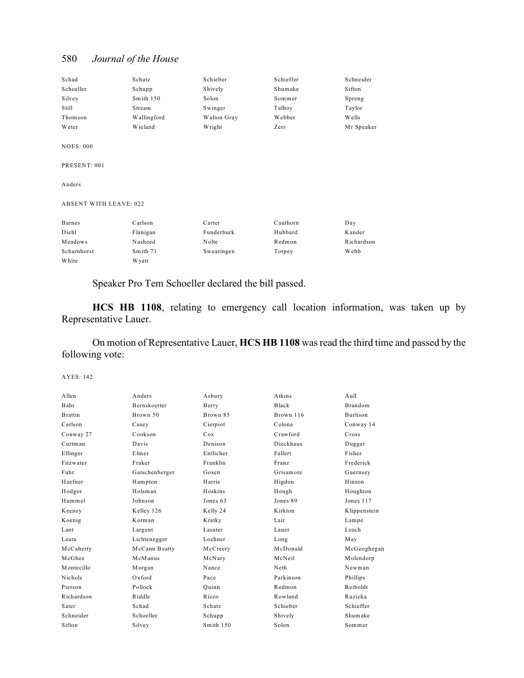| Schad                         | Schatz      | Schieber    | Schieffer | Schneider  |
|-------------------------------|-------------|-------------|-----------|------------|
| Schoeller                     | Schupp      | Shively     | Shumake   | Sifton     |
| Silvey                        | Smith 150   | Solon       | Sommer    | Spreng     |
| Still                         | Stream      | Swinger     | Talboy    | Taylor     |
| Thomson                       | Wallingford | Walton Gray | Webber    | Wells      |
| Weter                         | Wieland     | Wright      | Zerr      | Mr Speaker |
| <b>NOES: 000</b>              |             |             |           |            |
| PRESENT: 001                  |             |             |           |            |
| Anders                        |             |             |           |            |
| <b>ABSENT WITH LEAVE: 022</b> |             |             |           |            |
| <b>Barnes</b>                 | Carlson     | Carter      | Cauthorn  | Day        |
| Diehl                         | Flanigan    | Funderburk  | Hubbard   | Kander     |
| Meadows                       | Nasheed     | Nolte       | Redmon    | Richardson |
| Scharnhorst                   | Smith 71    | Swearingen  | Torpey    | Webb       |
| White                         | W yatt      |             |           |            |

Speaker Pro Tem Schoeller declared the bill passed.

**HCS HB 1108**, relating to emergency call location information, was taken up by Representative Lauer.

On motion of Representative Lauer, **HCS HB 1108** was read the third time and passed by the following vote:

| Anders              | Asbury    | Atkins    | $A$ ull         |
|---------------------|-----------|-----------|-----------------|
| <b>Bernskoetter</b> | Berry     | Black     | Brandom         |
| Brown 50            | Brown 85  | Brown 116 | <b>Burlison</b> |
| Casey               | Cierpiot  | Colona    | Conway 14       |
| Cookson             | Cox       | Crawford  | Cross           |
| Davis               | Denison   | Dieckhaus | Dugger          |
| Elmer               | Entlicher | Fallert   | Fisher          |
| Fraker              | Franklin  | Franz     | Frederick       |
| Gatschenberger      | Gosen     | Grisamore | Guernsey        |
| Hampton             | Harris    | Higdon    | Hinson          |
| Holsman             | Hoskins   | Hough     | Houghton        |
| Johnson             | Jones 63  | Jones 89  | Jones 117       |
| Kelley 126          | Kelly 24  | Kirkton   | Klippenstein    |
| Korman              | Kratky    | Lair      | Lampe           |
| Largent             | Lasater   | Lauer     | Leach           |
| Lichtenegger        | Loehner   | Long      | May             |
| McCann Beatty       | McCreery  | McDonald  | McGeoghegan     |
| McManus             | McNary    | McNeil    | Molendorp       |
| Morgan              | Nance     | Neth      | Newman          |
| $Ox$ ford           | Pace      | Parkinson | Phillips        |
| Pollock             | Ouinn     | Redmon    | Reiboldt        |
| Riddle              | Rizzo     | Rowland   | Ruzicka         |
| Schad               | Schatz    | Schieber  | Schieffer       |
| Schoeller           | Schupp    | Shively   | Shumake         |
| Silvey              | Smith 150 | Solon     | Sommer          |
|                     |           |           |                 |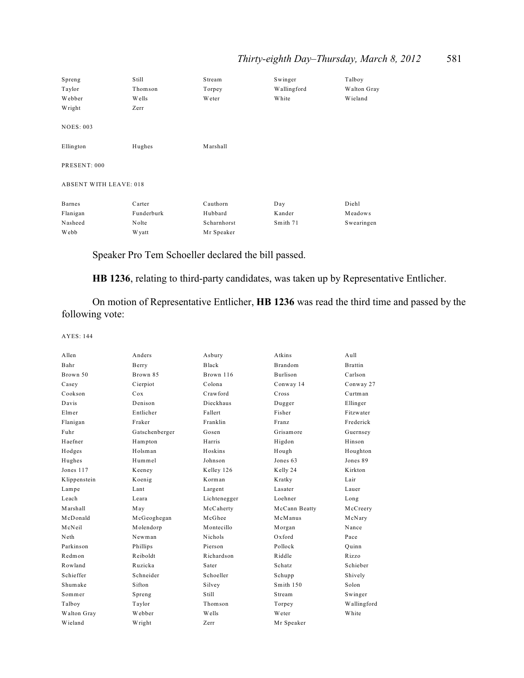## *Thirty-eighth Day–Thursday, March 8, 2012* 581

| Spreng                        | Still        | Stream      | Swinger     | Talboy      |
|-------------------------------|--------------|-------------|-------------|-------------|
| Taylor                        | Thomson      | Torpey      | Wallingford | Walton Gray |
| Webber                        | Wells        | Weter       | White       | Wieland     |
| Wright                        | Zerr         |             |             |             |
|                               |              |             |             |             |
| <b>NOES: 003</b>              |              |             |             |             |
|                               |              |             |             |             |
| Ellington                     | Hughes       | Marshall    |             |             |
|                               |              |             |             |             |
| PRESENT: 000                  |              |             |             |             |
|                               |              |             |             |             |
| <b>ABSENT WITH LEAVE: 018</b> |              |             |             |             |
|                               |              |             |             |             |
| <b>Barnes</b>                 | Carter       | Cauthorn    | Day         | Diehl       |
| Flanigan                      | Funderburk   | Hubbard     | Kander      | Meadows     |
| Nasheed                       | Nolte        | Scharnhorst | Smith 71    | Swearingen  |
| Webb                          | <b>Wyatt</b> | Mr Speaker  |             |             |

Speaker Pro Tem Schoeller declared the bill passed.

**HB 1236**, relating to third-party candidates, was taken up by Representative Entlicher.

On motion of Representative Entlicher, **HB 1236** was read the third time and passed by the following vote:

| Allen        | Anders         | Asbury         | Atkins          | Aul1           |
|--------------|----------------|----------------|-----------------|----------------|
| Bahr         | Berry          | Black          | <b>Brandom</b>  | <b>Brattin</b> |
| Brown 50     | Brown 85       | Brown 116      | <b>Burlison</b> | Carlson        |
| Casey        | Cierpiot       | Colona         | Conway 14       | Conway 27      |
| Cookson      | Cox            | Crawford       | Cross           | Curtman        |
| Davis        | Denison        | Dieckhaus      | Dugger          | Ellinger       |
| Elmer        | Entlicher      | Fallert        | Fisher          | Fitzwater      |
| Flanigan     | Fraker         | Franklin       | Franz           | Frederick      |
| Fuhr         | Gatschenberger | Gosen          | Grisamore       | Guernsey       |
| Haefner      | Hampton        | Harris         | Higdon          | Hinson         |
| Hodges       | Holsman        | Hoskins        | Hough           | Houghton       |
| Hughes       | Hummel         | Johnson        | Jones 63        | Jones 89       |
| Jones 117    | Keeney         | Kelley 126     | Kelly 24        | Kirkton        |
| Klippenstein | Koenig         | Korman         | Kratky          | Lair           |
| Lampe        | Lant           | Largent        | Lasater         | Lauer          |
| Leach        | Leara          | Lichtenegger   | Loehner         | Long           |
| Marshall     | May            | McCaherty      | McCann Beatty   | McCreery       |
| McDonald     | McGeoghegan    | McGhee         | McManus         | McNary         |
| McNeil       | Molendorp      | Montecillo     | Morgan          | Nance          |
| Neth         | Newman         | <b>Nichols</b> | $Ox$ ford       | Pace           |
| Parkinson    | Phillips       | Pierson        | Pollock         | Ouinn          |
| Redmon       | Reiboldt       | Richardson     | Riddle          | Rizzo          |
| Rowland      | Ruzicka        | Sater          | Schatz          | Schieber       |
| Schieffer    | Schneider      | Schoeller      | Schupp          | Shively        |
| Shumake      | Sifton         | Silvey         | Smith 150       | Solon          |
| Sommer       | Spreng         | Still          | Stream          | Swinger        |
| Talboy       | Taylor         | Thomson        | Torpey          | Wallingford    |
| Walton Gray  | Webber         | W ells         | Weter           | White          |
| Wieland      | Wright         | Zerr           | Mr Speaker      |                |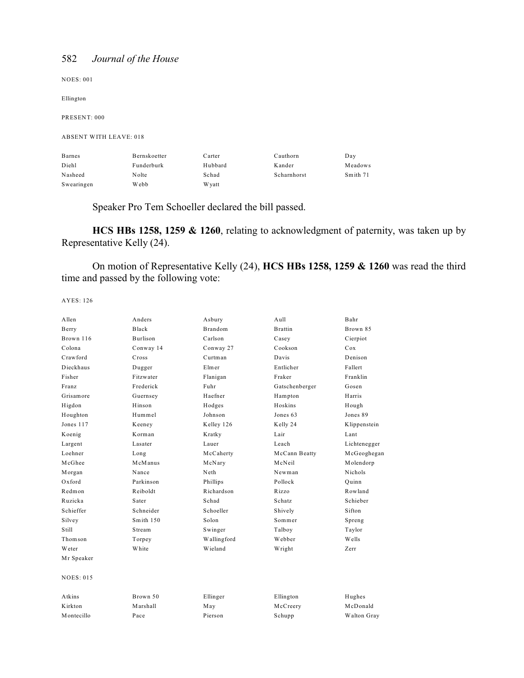NOES: 001

Ellington

PRESENT: 000

#### ABSENT WITH LEAVE: 018

| <b>Barnes</b> | Bernskoetter | Carter  | Cauthorn    | Day      |
|---------------|--------------|---------|-------------|----------|
| Diehl         | Funderburk   | Hubbard | Kander      | Meadows  |
| Nasheed       | Nolte        | Schad   | Scharnhorst | Smith 71 |
| Swearingen    | Webb         | W vatt  |             |          |

Speaker Pro Tem Schoeller declared the bill passed.

**HCS HBs 1258, 1259 & 1260**, relating to acknowledgment of paternity, was taken up by Representative Kelly (24).

On motion of Representative Kelly (24), **HCS HBs 1258, 1259 & 1260** was read the third time and passed by the following vote:

| Allen            | Anders       | Asbury         | $A$ ull        | Bahr           |
|------------------|--------------|----------------|----------------|----------------|
| Berry            | <b>Black</b> | <b>Brandom</b> | <b>Brattin</b> | Brown 85       |
| Brown 116        | Burlison     | Carlson        | Casey          | Cierpiot       |
| Colona           | Conway 14    | Conway 27      | Cookson        | Cox            |
| Crawford         | Cross        | Curtman        | Davis          | Denison        |
| Dieckhaus        | Dugger       | Elmer          | Entlicher      | Fallert        |
| Fisher           | Fitzwater    | Flanigan       | Fraker         | Franklin       |
| Franz            | Frederick    | Fuhr           | Gatschenberger | Gosen          |
| Grisamore        | Guernsey     | Haefner        | Hampton        | Harris         |
| Higdon           | Hinson       | Hodges         | Hoskins        | Hough          |
| Houghton         | Hummel       | Johnson        | Jones 63       | Jones 89       |
| Jones 117        | Keeney       | Kelley 126     | Kelly 24       | Klippenstein   |
| Koenig           | Korman       | Kratky         | Lair           | Lant           |
| Largent          | Lasater      | Lauer          | Leach          | Lichtenegger   |
| Loehner          | Long         | McCaherty      | McCann Beatty  | McGeoghegan    |
| McGhee           | McManus      | McNary         | McNeil         | Molendorp      |
| Morgan           | Nance        | Neth           | Newman         | <b>Nichols</b> |
| $Ox$ ford        | Parkinson    | Phillips       | Pollock        | Ouinn          |
| Redmon           | Reiboldt     | Richardson     | Rizzo          | Rowland        |
| Ruzicka          | Sater        | Schad          | <b>Schatz</b>  | Schieber       |
| Schieffer        | Schneider    | Schoeller      | Shively        | Sifton         |
| Silvey           | Smith 150    | Solon          | Sommer         | Spreng         |
| Still            | Stream       | Swinger        | Talboy         | Taylor         |
| Thomson          | Torpey       | Wallingford    | Webber         | <b>Wells</b>   |
| <b>W</b> eter    | White        | Wieland        | Wright         | Zerr           |
| Mr Speaker       |              |                |                |                |
| <b>NOES: 015</b> |              |                |                |                |
| Atkins           | Brown 50     | Ellinger       | Ellington      | Hughes         |
| K irkton         | Marshall     | May            | McCreery       | McDonald       |
| Montecillo       | Pace         | Pierson        | Schupp         | Walton Gray    |
|                  |              |                |                |                |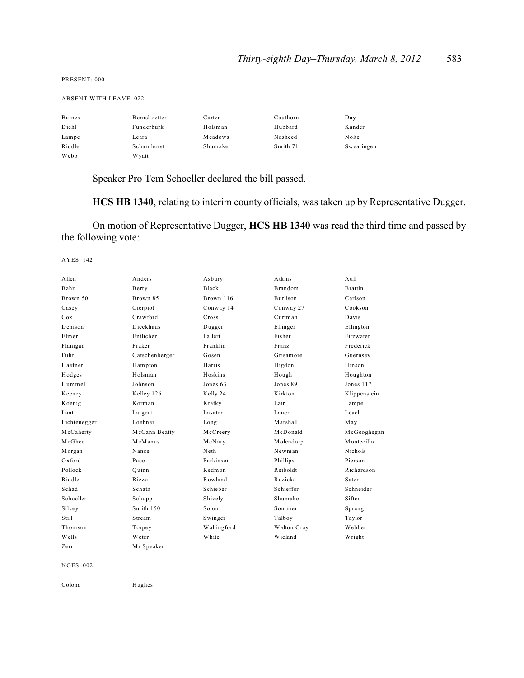PRESENT: 000

ABSENT WITH LEAVE: 022

| <b>Barnes</b> | Bernskoetter | Carter  | Cauthorn | Day        |
|---------------|--------------|---------|----------|------------|
| Diehl         | Funderburk   | Holsman | Hubbard  | Kander     |
| Lampe         | Leara        | Meadows | Nasheed  | Nolte      |
| Riddle        | Scharnhorst  | Shumake | Smith 71 | Swearingen |
| Webb          | W yatt       |         |          |            |

Speaker Pro Tem Schoeller declared the bill passed.

**HCS HB 1340**, relating to interim county officials, was taken up by Representative Dugger.

On motion of Representative Dugger, **HCS HB 1340** was read the third time and passed by the following vote:

AYES: 142

| Allen        | Anders         | Asbury      | Atkins          | Aul1           |
|--------------|----------------|-------------|-----------------|----------------|
| Bahr         | Berry          | Black       | <b>Brandom</b>  | <b>Brattin</b> |
| Brown 50     | Brown 85       | Brown 116   | <b>Burlison</b> | Carlson        |
| Casey        | Cierpiot       | Conway 14   | Conway 27       | Cookson        |
| Cox          | Crawford       | Cross       | Curtman         | Davis          |
| Denison      | Dieckhaus      | Dugger      | Ellinger        | Ellington      |
| Elmer        | Entlicher      | Fallert     | Fisher          | Fitzwater      |
| Flanigan     | Fraker         | Franklin    | <b>Franz</b>    | Frederick      |
| Fuhr         | Gatschenberger | Gosen       | Grisamore       | Guernsey       |
| Haefner      | Hampton        | Harris      | Higdon          | Hinson         |
| Hodges       | Holsman        | Hoskins     | Hough           | Houghton       |
| Hummel       | Johnson        | Jones 63    | Jones 89        | Jones 117      |
| Keeney       | Kelley 126     | Kelly 24    | Kirkton         | Klippenstein   |
| Koenig       | Korman         | Kratky      | Lair            | Lampe          |
| Lant         | Largent        | Lasater     | Lauer           | Leach          |
| Lichtenegger | Loehner        | Long        | Marshall        | May            |
| McCaherty    | McCann Beatty  | McCreery    | McDonald        | McGeoghegan    |
| McGhee       | McManus        | McNary      | Molendorp       | Montecillo     |
| Morgan       | Nance          | Neth        | Newman          | <b>Nichols</b> |
| $Ox$ ford    | Pace           | Parkinson   | Phillips        | Pierson        |
| Pollock      | Ouinn          | Redmon      | Reiholdt        | Richardson     |
| Riddle       | Rizzo          | Rowland     | Ruzicka         | Sater          |
| Schad        | <b>Schatz</b>  | Schieber    | Schieffer       | Schneider      |
| Schoeller    | Schupp         | Shively     | Shumake         | Sifton         |
| Silvey       | Smith 150      | Solon       | Sommer          | Spreng         |
| Still        | Stream         | Swinger     | Talboy          | Taylor         |
| Thomson      | Torpey         | Wallingford | Walton Gray     | Webber         |
| Wells        | Weter          | White       | Wieland         | Wright         |
| Zerr         | Mr Speaker     |             |                 |                |
|              |                |             |                 |                |

NOES: 002

Colona Hughes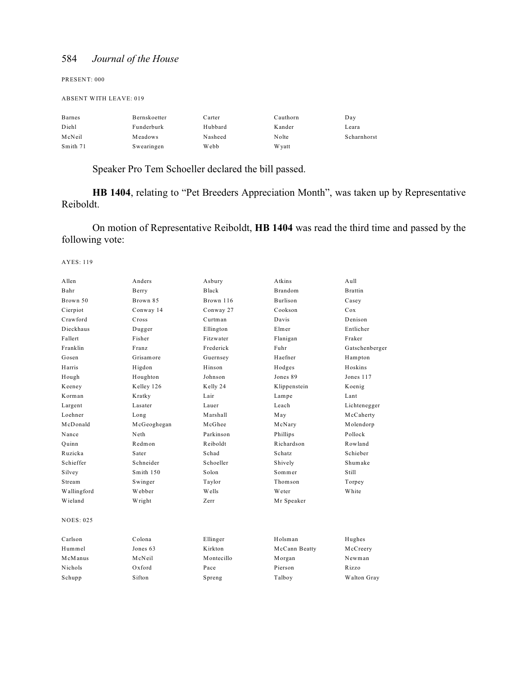PRESENT: 000

#### ABSENT WITH LEAVE: 019

| <b>Barnes</b> | Bernskoetter | Carter  | Cauthorn | Day         |
|---------------|--------------|---------|----------|-------------|
| Diehl         | Funderburk   | Hubbard | Kander   | Leara       |
| McNeil        | Meadows      | Nasheed | Nolte    | Scharnhorst |
| Smith 71      | Swearingen   | Webb    | W yatt   |             |

Speaker Pro Tem Schoeller declared the bill passed.

**HB 1404**, relating to "Pet Breeders Appreciation Month", was taken up by Representative Reiboldt.

On motion of Representative Reiboldt, **HB 1404** was read the third time and passed by the following vote:

| Allen       | Anders      | Asbury     | Atkins         | A <sub>u</sub> 11 |
|-------------|-------------|------------|----------------|-------------------|
| Bahr        | Berry       | Black      | <b>Brandom</b> | <b>Brattin</b>    |
| Brown 50    | Brown 85    | Brown 116  | Burlison       | Casey             |
| Cierpiot    | Conway 14   | Conway 27  | Cookson        | Cox               |
| Crawford    | Cross       | Curtman    | Davis          | Denison           |
| Dieckhaus   | Dugger      | Ellington  | Elmer          | Entlicher         |
| Fallert     | Fisher      | Fitzwater  | Flanigan       | Fraker            |
| Franklin    | Franz       | Frederick  | Fuhr           | Gatschenberger    |
| Gosen       | Grisamore   | Guernsey   | Haefner        | Hampton           |
| Harris      | Higdon      | Hinson     | Hodges         | Hoskins           |
| Hough       | Houghton    | Johnson    | Jones 89       | Jones 117         |
| Keeney      | Kelley 126  | Kelly 24   | Klippenstein   | Koenig            |
| Korman      | Kratky      | Lair       | Lampe          | Lant              |
| Largent     | Lasater     | Lauer      | Leach          | Lichtenegger      |
| Loehner     | Long        | Marshall   | May            | McCaherty         |
| McDonald    | McGeoghegan | McGhee     | McNary         | Molendorp         |
| Nance       | Neth        | Parkinson  | Phillips       | Pollock           |
| Ouinn       | Redmon      | Reiboldt   | Richardson     | Rowland           |
| Ruzicka     | Sater       | Schad      | Schatz         | Schieber          |
| Schieffer   | Schneider   | Schoeller  | Shively        | Shumake           |
| Silvey      | Smith 150   | Solon      | Sommer         | Still             |
| Stream      | Swinger     | Taylor     | Thomson        | Torpey            |
| Wallingford | Webber      | Wells      | Weter          | White             |
| Wieland     | Wright      | Zerr       | Mr Speaker     |                   |
| NOES: 025   |             |            |                |                   |
| Carlson     | Colona      | Ellinger   | Holsman        | Hughes            |
| Hummel      | Jones 63    | Kirkton    | McCann Beatty  | McCreery          |
| McManus     | McNeil      | Montecillo | Morgan         | Newman            |
| Nichols     | Oxford      | Pace       | Pierson        | Rizzo             |
| Schupp      | Sifton      | Spreng     | Talboy         | Walton Gray       |
|             |             |            |                |                   |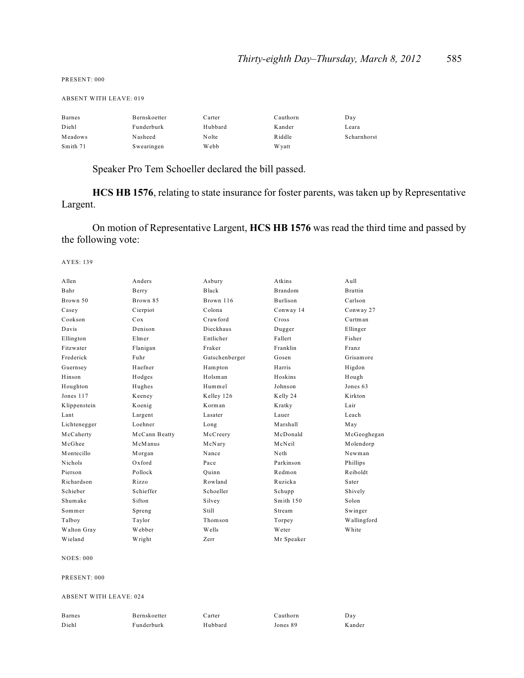| <b>ABSENT WITH LEAVE: 019</b> |              |         |          |             |  |
|-------------------------------|--------------|---------|----------|-------------|--|
| Barnes                        | Bernskoetter | Carter  | Cauthorn | Day         |  |
| Diehl                         | Funderburk   | Hubbard | Kander   | Leara       |  |
| Meadows                       | Nasheed      | Nolte   | Riddle   | Scharnhorst |  |
| Smith 71                      | Swearingen   | Webb    | W yatt   |             |  |

Speaker Pro Tem Schoeller declared the bill passed.

**HCS HB 1576**, relating to state insurance for foster parents, was taken up by Representative Largent.

On motion of Representative Largent, **HCS HB 1576** was read the third time and passed by the following vote:

AYES: 139

PRESENT: 000

| A llen         | Anders        | Asbury         | Atkins          | A <sub>u</sub> 11 |
|----------------|---------------|----------------|-----------------|-------------------|
| Bahr           | Berry         | Black          | <b>Brandom</b>  | <b>Brattin</b>    |
| Brown 50       | Brown 85      | Brown 116      | <b>Burlison</b> | Carlson           |
| Casey          | Cierpiot      | Colona         | Conway 14       | Conway 27         |
| Cookson        | Cox           | Crawford       | Cross           | Curtman           |
| Davis          | Denison       | Dieckhaus      | Dugger          | Ellinger          |
| Ellington      | Elmer         | Entlicher      | Fallert         | Fisher            |
| Fitzwater      | Flanigan      | Fraker         | Franklin        | Franz             |
| Frederick      | Fuhr          | Gatschenberger | Gosen           | Grisamore         |
| Guernsey       | Haefner       | Hampton        | Harris          | Higdon            |
| Hinson         | Hodges        | Holsman        | Hoskins         | Hough             |
| Houghton       | Hughes        | Hummel         | Johnson         | Jones 63          |
| Jones 117      | Keeney        | Kelley 126     | Kelly 24        | Kirkton           |
| Klippenstein   | Koenig        | Korman         | Kratky          | Lair              |
| Lant           | Largent       | Lasater        | Lauer           | Leach             |
| Lichtenegger   | Loehner       | Long           | Marshall        | May               |
| McCaherty      | McCann Beatty | McCreery       | McDonald        | McGeoghegan       |
| McGhee         | McManus       | McNary         | McNeil          | Molendorp         |
| Montecillo     | Morgan        | Nance          | Neth            | Newman            |
| <b>Nichols</b> | $Ox$ ford     | Pace           | Parkinson       | Phillips          |
| Pierson        | Pollock       | Ouinn          | Redmon          | Reiboldt          |
| Richardson     | Rizzo         | Rowland        | Ruzicka         | Sater             |
| Schieber       | Schieffer     | Schoeller      | Schupp          | Shively           |
| Shumake        | Sifton        | Silvey         | Smith 150       | Solon             |
| Sommer         | Spreng        | Still          | Stream          | Swinger           |
| Talboy         | Taylor        | Thomson        | Torpey          | Wallingford       |
| Walton Gray    | Webber        | Wells          | Weter           | White             |
| Wieland        | Wright        | Zerr           | Mr Speaker      |                   |

NOES: 000

PRESENT: 000

ABSENT WITH LEAVE: 024

| Barnes | Bernskoetter | Carter  | Cauthorn | Day    |
|--------|--------------|---------|----------|--------|
| Diehl  | Funderburk   | Hubbard | Jones 89 | Kander |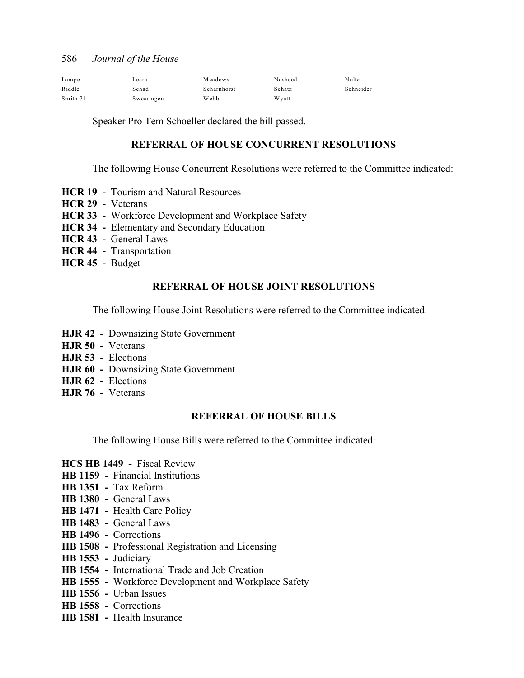| Lampe    | Leara      | Meadows     | Nasheed | Nolte     |
|----------|------------|-------------|---------|-----------|
| Riddle   | Schad      | Scharnhorst | Schatz  | Schneider |
| Smith 71 | Swearingen | Webb        | W yatt  |           |

Speaker Pro Tem Schoeller declared the bill passed.

#### **REFERRAL OF HOUSE CONCURRENT RESOLUTIONS**

The following House Concurrent Resolutions were referred to the Committee indicated:

- **HCR 19 Tourism and Natural Resources**
- **HCR 29** Veterans
- **HCR 33** Workforce Development and Workplace Safety
- **HCR 34** Elementary and Secondary Education
- **HCR 43** General Laws
- **HCR 44 Transportation**
- **HCR 45** Budget

#### **REFERRAL OF HOUSE JOINT RESOLUTIONS**

The following House Joint Resolutions were referred to the Committee indicated:

- **HJR 42** Downsizing State Government
- **HJR 50** Veterans
- **HJR 53** Elections
- **HJR 60** Downsizing State Government
- **HJR 62** Elections
- **HJR 76** Veterans

#### **REFERRAL OF HOUSE BILLS**

The following House Bills were referred to the Committee indicated:

- **HCS HB 1449 -** Fiscal Review
- **HB 1159** Financial Institutions
- **HB 1351** Tax Reform
- **HB 1380** General Laws
- **HB 1471** Health Care Policy
- **HB 1483** General Laws
- **HB 1496** Corrections
- **HB 1508** Professional Registration and Licensing
- **HB 1553** Judiciary
- **HB 1554** International Trade and Job Creation
- **HB 1555** Workforce Development and Workplace Safety
- **HB 1556** Urban Issues
- **HB 1558** Corrections
- **HB 1581** Health Insurance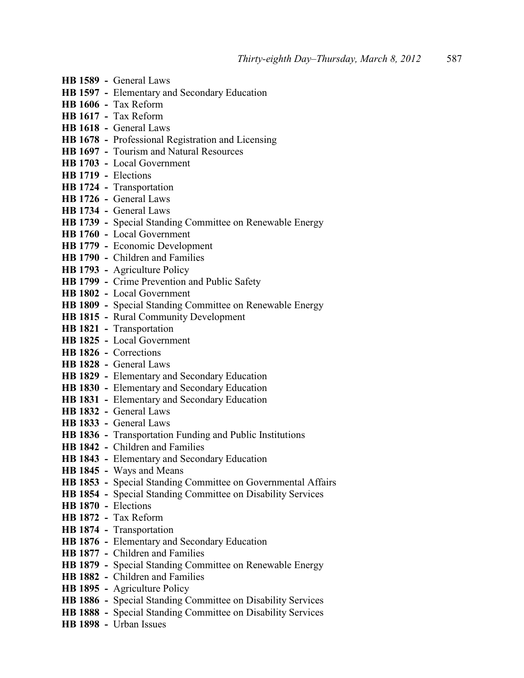- **HB 1589** General Laws
- **HB 1597** Elementary and Secondary Education
- **HB 1606** Tax Reform
- **HB 1617** Tax Reform
- **HB 1618** General Laws
- **HB 1678** Professional Registration and Licensing
- **HB 1697** Tourism and Natural Resources
- **HB 1703** Local Government
- **HB 1719** Elections
- **HB 1724** Transportation
- **HB 1726** General Laws
- **HB 1734** General Laws
- **HB 1739** Special Standing Committee on Renewable Energy
- **HB 1760** Local Government
- **HB 1779** Economic Development
- **HB 1790** Children and Families
- **HB 1793** Agriculture Policy
- **HB 1799** Crime Prevention and Public Safety
- **HB 1802** Local Government
- **HB 1809** Special Standing Committee on Renewable Energy
- **HB 1815** Rural Community Development
- **HB 1821** Transportation
- **HB 1825 -** Local Government
- **HB 1826** Corrections
- **HB 1828 -** General Laws
- **HB 1829** Elementary and Secondary Education
- **HB 1830** Elementary and Secondary Education
- **HB 1831** Elementary and Secondary Education
- **HB 1832** General Laws
- **HB 1833** General Laws
- **HB 1836** Transportation Funding and Public Institutions
- **HB 1842** Children and Families
- **HB 1843** Elementary and Secondary Education
- **HB 1845** Ways and Means
- **HB 1853** Special Standing Committee on Governmental Affairs
- **HB 1854** Special Standing Committee on Disability Services
- **HB 1870 -** Elections
- **HB 1872** Tax Reform
- **HB 1874** Transportation
- **HB 1876** Elementary and Secondary Education
- **HB 1877** Children and Families
- **HB 1879** Special Standing Committee on Renewable Energy
- **HB 1882** Children and Families
- **HB 1895** Agriculture Policy
- **HB 1886 -** Special Standing Committee on Disability Services
- **HB 1888 -** Special Standing Committee on Disability Services
- **HB 1898** Urban Issues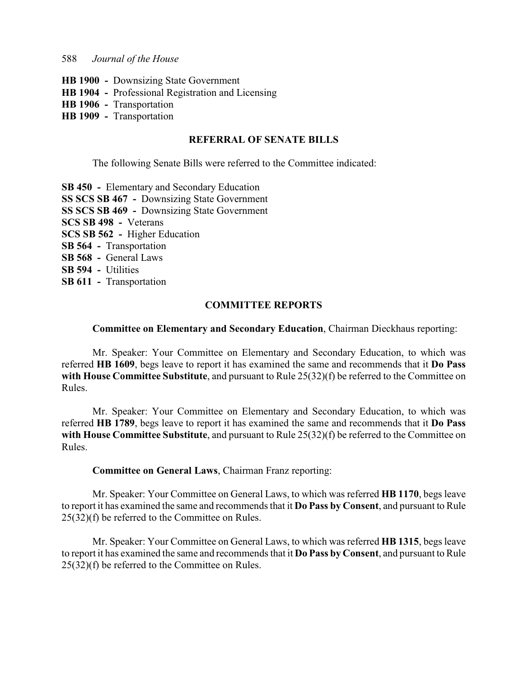- **HB 1900 -** Downsizing State Government
- **HB 1904** Professional Registration and Licensing
- **HB 1906** Transportation
- **HB 1909** Transportation

#### **REFERRAL OF SENATE BILLS**

The following Senate Bills were referred to the Committee indicated:

**SB 450 -** Elementary and Secondary Education **SS SCS SB 467 -** Downsizing State Government **SS SCS SB 469 -** Downsizing State Government **SCS SB 498 -** Veterans **SCS SB 562 -** Higher Education **SB 564 -** Transportation **SB 568 -** General Laws **SB 594 -** Utilities **SB 611 -** Transportation

#### **COMMITTEE REPORTS**

#### **Committee on Elementary and Secondary Education**, Chairman Dieckhaus reporting:

Mr. Speaker: Your Committee on Elementary and Secondary Education, to which was referred **HB 1609**, begs leave to report it has examined the same and recommends that it **Do Pass with House Committee Substitute**, and pursuant to Rule 25(32)(f) be referred to the Committee on Rules.

Mr. Speaker: Your Committee on Elementary and Secondary Education, to which was referred **HB 1789**, begs leave to report it has examined the same and recommends that it **Do Pass with House Committee Substitute**, and pursuant to Rule 25(32)(f) be referred to the Committee on Rules.

#### **Committee on General Laws**, Chairman Franz reporting:

Mr. Speaker: Your Committee on General Laws, to which was referred **HB 1170**, begs leave to report it has examined the same and recommends that it **Do Pass by Consent**, and pursuant to Rule 25(32)(f) be referred to the Committee on Rules.

Mr. Speaker: Your Committee on General Laws, to which was referred **HB 1315**, begs leave to report it has examined the same and recommends that it **Do Pass by Consent**, and pursuant to Rule 25(32)(f) be referred to the Committee on Rules.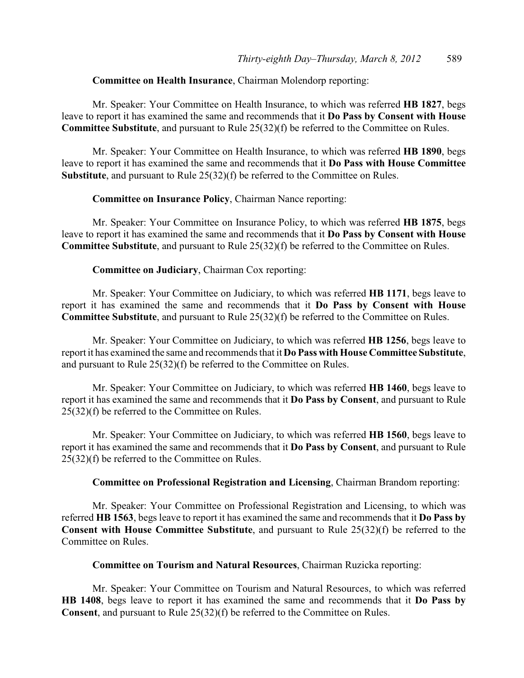#### **Committee on Health Insurance**, Chairman Molendorp reporting:

Mr. Speaker: Your Committee on Health Insurance, to which was referred **HB 1827**, begs leave to report it has examined the same and recommends that it **Do Pass by Consent with House Committee Substitute**, and pursuant to Rule 25(32)(f) be referred to the Committee on Rules.

Mr. Speaker: Your Committee on Health Insurance, to which was referred **HB 1890**, begs leave to report it has examined the same and recommends that it **Do Pass with House Committee Substitute**, and pursuant to Rule 25(32)(f) be referred to the Committee on Rules.

#### **Committee on Insurance Policy**, Chairman Nance reporting:

Mr. Speaker: Your Committee on Insurance Policy, to which was referred **HB 1875**, begs leave to report it has examined the same and recommends that it **Do Pass by Consent with House Committee Substitute**, and pursuant to Rule 25(32)(f) be referred to the Committee on Rules.

#### **Committee on Judiciary**, Chairman Cox reporting:

Mr. Speaker: Your Committee on Judiciary, to which was referred **HB 1171**, begs leave to report it has examined the same and recommends that it **Do Pass by Consent with House Committee Substitute**, and pursuant to Rule 25(32)(f) be referred to the Committee on Rules.

Mr. Speaker: Your Committee on Judiciary, to which was referred **HB 1256**, begs leave to report it has examined the same and recommends that it **Do Pass with House Committee Substitute**, and pursuant to Rule 25(32)(f) be referred to the Committee on Rules.

Mr. Speaker: Your Committee on Judiciary, to which was referred **HB 1460**, begs leave to report it has examined the same and recommends that it **Do Pass by Consent**, and pursuant to Rule 25(32)(f) be referred to the Committee on Rules.

Mr. Speaker: Your Committee on Judiciary, to which was referred **HB 1560**, begs leave to report it has examined the same and recommends that it **Do Pass by Consent**, and pursuant to Rule 25(32)(f) be referred to the Committee on Rules.

#### **Committee on Professional Registration and Licensing**, Chairman Brandom reporting:

Mr. Speaker: Your Committee on Professional Registration and Licensing, to which was referred **HB 1563**, begs leave to report it has examined the same and recommends that it **Do Pass by Consent with House Committee Substitute**, and pursuant to Rule 25(32)(f) be referred to the Committee on Rules.

#### **Committee on Tourism and Natural Resources**, Chairman Ruzicka reporting:

Mr. Speaker: Your Committee on Tourism and Natural Resources, to which was referred **HB 1408**, begs leave to report it has examined the same and recommends that it **Do Pass by Consent**, and pursuant to Rule 25(32)(f) be referred to the Committee on Rules.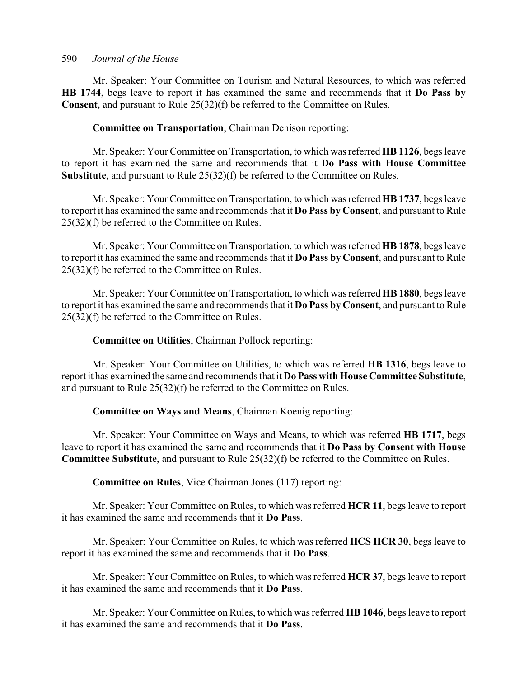Mr. Speaker: Your Committee on Tourism and Natural Resources, to which was referred **HB 1744**, begs leave to report it has examined the same and recommends that it **Do Pass by Consent**, and pursuant to Rule 25(32)(f) be referred to the Committee on Rules.

#### **Committee on Transportation**, Chairman Denison reporting:

Mr. Speaker: Your Committee on Transportation, to which was referred **HB 1126**, begs leave to report it has examined the same and recommends that it **Do Pass with House Committee Substitute**, and pursuant to Rule 25(32)(f) be referred to the Committee on Rules.

Mr. Speaker: Your Committee on Transportation, to which was referred **HB 1737**, begs leave to report it has examined the same and recommends that it **Do Pass by Consent**, and pursuant to Rule 25(32)(f) be referred to the Committee on Rules.

Mr. Speaker: Your Committee on Transportation, to which was referred **HB 1878**, begs leave to report it has examined the same and recommends that it **Do Pass by Consent**, and pursuant to Rule 25(32)(f) be referred to the Committee on Rules.

Mr. Speaker: Your Committee on Transportation, to which was referred **HB 1880**, begs leave to report it has examined the same and recommends that it **Do Pass by Consent**, and pursuant to Rule 25(32)(f) be referred to the Committee on Rules.

#### **Committee on Utilities**, Chairman Pollock reporting:

Mr. Speaker: Your Committee on Utilities, to which was referred **HB 1316**, begs leave to report it has examined the same and recommends that it **Do Pass with House Committee Substitute**, and pursuant to Rule 25(32)(f) be referred to the Committee on Rules.

#### **Committee on Ways and Means**, Chairman Koenig reporting:

Mr. Speaker: Your Committee on Ways and Means, to which was referred **HB 1717**, begs leave to report it has examined the same and recommends that it **Do Pass by Consent with House Committee Substitute**, and pursuant to Rule 25(32)(f) be referred to the Committee on Rules.

### **Committee on Rules**, Vice Chairman Jones (117) reporting:

Mr. Speaker: Your Committee on Rules, to which was referred **HCR 11**, begs leave to report it has examined the same and recommends that it **Do Pass**.

Mr. Speaker: Your Committee on Rules, to which was referred **HCS HCR 30**, begs leave to report it has examined the same and recommends that it **Do Pass**.

Mr. Speaker: Your Committee on Rules, to which was referred **HCR 37**, begs leave to report it has examined the same and recommends that it **Do Pass**.

Mr. Speaker: Your Committee on Rules, to which was referred **HB 1046**, begs leave to report it has examined the same and recommends that it **Do Pass**.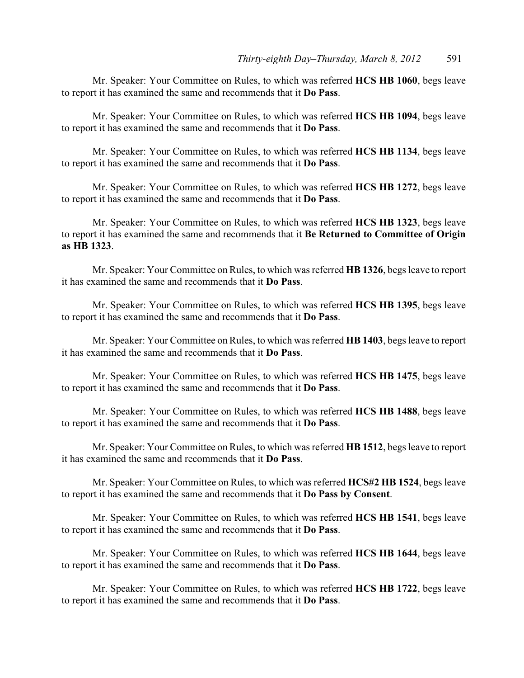Mr. Speaker: Your Committee on Rules, to which was referred **HCS HB 1060**, begs leave to report it has examined the same and recommends that it **Do Pass**.

Mr. Speaker: Your Committee on Rules, to which was referred **HCS HB 1094**, begs leave to report it has examined the same and recommends that it **Do Pass**.

Mr. Speaker: Your Committee on Rules, to which was referred **HCS HB 1134**, begs leave to report it has examined the same and recommends that it **Do Pass**.

Mr. Speaker: Your Committee on Rules, to which was referred **HCS HB 1272**, begs leave to report it has examined the same and recommends that it **Do Pass**.

Mr. Speaker: Your Committee on Rules, to which was referred **HCS HB 1323**, begs leave to report it has examined the same and recommends that it **Be Returned to Committee of Origin as HB 1323**.

Mr. Speaker: Your Committee on Rules, to which was referred **HB 1326**, begs leave to report it has examined the same and recommends that it **Do Pass**.

Mr. Speaker: Your Committee on Rules, to which was referred **HCS HB 1395**, begs leave to report it has examined the same and recommends that it **Do Pass**.

Mr. Speaker: Your Committee on Rules, to which was referred **HB 1403**, begs leave to report it has examined the same and recommends that it **Do Pass**.

Mr. Speaker: Your Committee on Rules, to which was referred **HCS HB 1475**, begs leave to report it has examined the same and recommends that it **Do Pass**.

Mr. Speaker: Your Committee on Rules, to which was referred **HCS HB 1488**, begs leave to report it has examined the same and recommends that it **Do Pass**.

Mr. Speaker: Your Committee on Rules, to which was referred **HB 1512**, begs leave to report it has examined the same and recommends that it **Do Pass**.

Mr. Speaker: Your Committee on Rules, to which was referred **HCS#2 HB 1524**, begs leave to report it has examined the same and recommends that it **Do Pass by Consent**.

Mr. Speaker: Your Committee on Rules, to which was referred **HCS HB 1541**, begs leave to report it has examined the same and recommends that it **Do Pass**.

Mr. Speaker: Your Committee on Rules, to which was referred **HCS HB 1644**, begs leave to report it has examined the same and recommends that it **Do Pass**.

Mr. Speaker: Your Committee on Rules, to which was referred **HCS HB 1722**, begs leave to report it has examined the same and recommends that it **Do Pass**.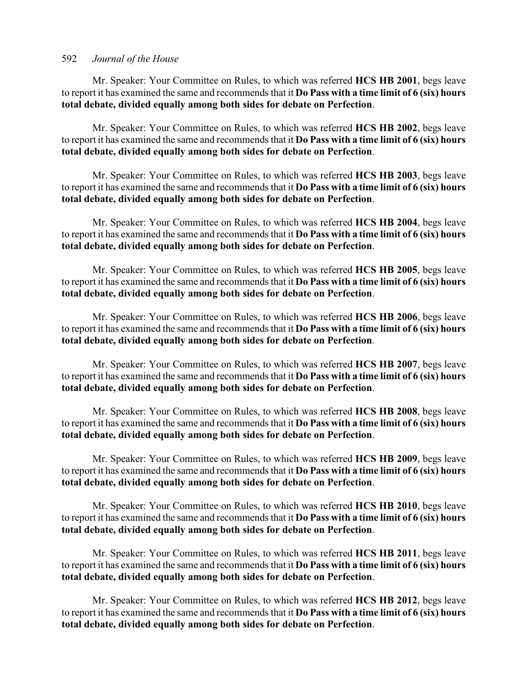Mr. Speaker: Your Committee on Rules, to which was referred **HCS HB 2001**, begs leave to report it has examined the same and recommends that it **Do Pass with a time limit of 6 (six) hours total debate, divided equally among both sides for debate on Perfection**.

Mr. Speaker: Your Committee on Rules, to which was referred **HCS HB 2002**, begs leave to report it has examined the same and recommends that it **Do Pass with a time limit of 6 (six) hours total debate, divided equally among both sides for debate on Perfection**.

Mr. Speaker: Your Committee on Rules, to which was referred **HCS HB 2003**, begs leave to report it has examined the same and recommends that it **Do Pass with a time limit of 6 (six) hours total debate, divided equally among both sides for debate on Perfection**.

Mr. Speaker: Your Committee on Rules, to which was referred **HCS HB 2004**, begs leave to report it has examined the same and recommends that it **Do Pass with a time limit of 6 (six) hours total debate, divided equally among both sides for debate on Perfection**.

Mr. Speaker: Your Committee on Rules, to which was referred **HCS HB 2005**, begs leave to report it has examined the same and recommends that it **Do Pass with a time limit of 6 (six) hours total debate, divided equally among both sides for debate on Perfection**.

Mr. Speaker: Your Committee on Rules, to which was referred **HCS HB 2006**, begs leave to report it has examined the same and recommends that it **Do Pass with a time limit of 6 (six) hours total debate, divided equally among both sides for debate on Perfection**.

Mr. Speaker: Your Committee on Rules, to which was referred **HCS HB 2007**, begs leave to report it has examined the same and recommends that it **Do Pass with a time limit of 6 (six) hours total debate, divided equally among both sides for debate on Perfection**.

Mr. Speaker: Your Committee on Rules, to which was referred **HCS HB 2008**, begs leave to report it has examined the same and recommends that it **Do Pass with a time limit of 6 (six) hours total debate, divided equally among both sides for debate on Perfection**.

Mr. Speaker: Your Committee on Rules, to which was referred **HCS HB 2009**, begs leave to report it has examined the same and recommends that it **Do Pass with a time limit of 6 (six) hours total debate, divided equally among both sides for debate on Perfection**.

Mr. Speaker: Your Committee on Rules, to which was referred **HCS HB 2010**, begs leave to report it has examined the same and recommends that it **Do Pass with a time limit of 6 (six) hours total debate, divided equally among both sides for debate on Perfection**.

Mr. Speaker: Your Committee on Rules, to which was referred **HCS HB 2011**, begs leave to report it has examined the same and recommends that it **Do Pass with a time limit of 6 (six) hours total debate, divided equally among both sides for debate on Perfection**.

Mr. Speaker: Your Committee on Rules, to which was referred **HCS HB 2012**, begs leave to report it has examined the same and recommends that it **Do Pass with a time limit of 6 (six) hours total debate, divided equally among both sides for debate on Perfection**.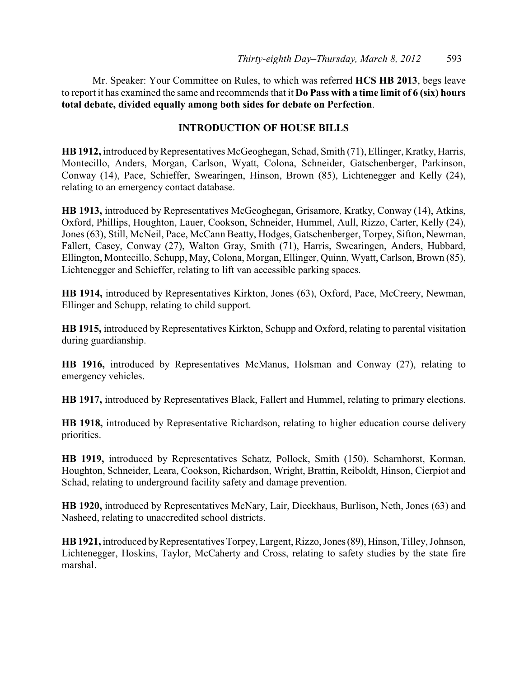Mr. Speaker: Your Committee on Rules, to which was referred **HCS HB 2013**, begs leave to report it has examined the same and recommends that it **Do Pass with a time limit of 6 (six) hours total debate, divided equally among both sides for debate on Perfection**.

### **INTRODUCTION OF HOUSE BILLS**

**HB 1912,** introduced byRepresentatives McGeoghegan, Schad, Smith (71), Ellinger, Kratky, Harris, Montecillo, Anders, Morgan, Carlson, Wyatt, Colona, Schneider, Gatschenberger, Parkinson, Conway (14), Pace, Schieffer, Swearingen, Hinson, Brown (85), Lichtenegger and Kelly (24), relating to an emergency contact database.

**HB 1913,** introduced by Representatives McGeoghegan, Grisamore, Kratky, Conway (14), Atkins, Oxford, Phillips, Houghton, Lauer, Cookson, Schneider, Hummel, Aull, Rizzo, Carter, Kelly (24), Jones (63), Still, McNeil, Pace, McCann Beatty, Hodges, Gatschenberger, Torpey, Sifton, Newman, Fallert, Casey, Conway (27), Walton Gray, Smith (71), Harris, Swearingen, Anders, Hubbard, Ellington, Montecillo, Schupp, May, Colona, Morgan, Ellinger, Quinn, Wyatt, Carlson, Brown (85), Lichtenegger and Schieffer, relating to lift van accessible parking spaces.

**HB 1914,** introduced by Representatives Kirkton, Jones (63), Oxford, Pace, McCreery, Newman, Ellinger and Schupp, relating to child support.

**HB 1915,** introduced by Representatives Kirkton, Schupp and Oxford, relating to parental visitation during guardianship.

**HB 1916,** introduced by Representatives McManus, Holsman and Conway (27), relating to emergency vehicles.

**HB 1917,** introduced by Representatives Black, Fallert and Hummel, relating to primary elections.

**HB 1918,** introduced by Representative Richardson, relating to higher education course delivery priorities.

**HB 1919,** introduced by Representatives Schatz, Pollock, Smith (150), Scharnhorst, Korman, Houghton, Schneider, Leara, Cookson, Richardson, Wright, Brattin, Reiboldt, Hinson, Cierpiot and Schad, relating to underground facility safety and damage prevention.

**HB 1920,** introduced by Representatives McNary, Lair, Dieckhaus, Burlison, Neth, Jones (63) and Nasheed, relating to unaccredited school districts.

**HB 1921,** introduced by Representatives Torpey, Largent, Rizzo, Jones (89), Hinson, Tilley, Johnson, Lichtenegger, Hoskins, Taylor, McCaherty and Cross, relating to safety studies by the state fire marshal.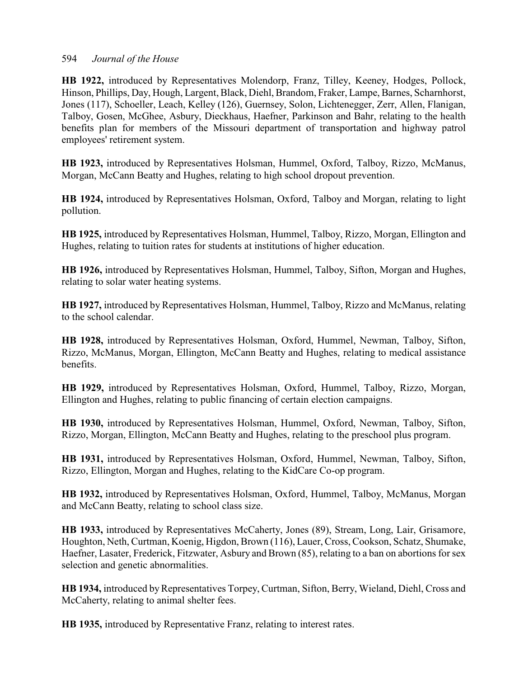**HB 1922,** introduced by Representatives Molendorp, Franz, Tilley, Keeney, Hodges, Pollock, Hinson, Phillips, Day, Hough, Largent, Black, Diehl, Brandom, Fraker, Lampe, Barnes, Scharnhorst, Jones (117), Schoeller, Leach, Kelley (126), Guernsey, Solon, Lichtenegger, Zerr, Allen, Flanigan, Talboy, Gosen, McGhee, Asbury, Dieckhaus, Haefner, Parkinson and Bahr, relating to the health benefits plan for members of the Missouri department of transportation and highway patrol employees' retirement system.

**HB 1923,** introduced by Representatives Holsman, Hummel, Oxford, Talboy, Rizzo, McManus, Morgan, McCann Beatty and Hughes, relating to high school dropout prevention.

**HB 1924,** introduced by Representatives Holsman, Oxford, Talboy and Morgan, relating to light pollution.

**HB 1925,** introduced by Representatives Holsman, Hummel, Talboy, Rizzo, Morgan, Ellington and Hughes, relating to tuition rates for students at institutions of higher education.

**HB 1926,** introduced by Representatives Holsman, Hummel, Talboy, Sifton, Morgan and Hughes, relating to solar water heating systems.

**HB 1927,** introduced by Representatives Holsman, Hummel, Talboy, Rizzo and McManus, relating to the school calendar.

**HB 1928,** introduced by Representatives Holsman, Oxford, Hummel, Newman, Talboy, Sifton, Rizzo, McManus, Morgan, Ellington, McCann Beatty and Hughes, relating to medical assistance benefits.

**HB 1929,** introduced by Representatives Holsman, Oxford, Hummel, Talboy, Rizzo, Morgan, Ellington and Hughes, relating to public financing of certain election campaigns.

**HB 1930,** introduced by Representatives Holsman, Hummel, Oxford, Newman, Talboy, Sifton, Rizzo, Morgan, Ellington, McCann Beatty and Hughes, relating to the preschool plus program.

**HB 1931,** introduced by Representatives Holsman, Oxford, Hummel, Newman, Talboy, Sifton, Rizzo, Ellington, Morgan and Hughes, relating to the KidCare Co-op program.

**HB 1932,** introduced by Representatives Holsman, Oxford, Hummel, Talboy, McManus, Morgan and McCann Beatty, relating to school class size.

**HB 1933,** introduced by Representatives McCaherty, Jones (89), Stream, Long, Lair, Grisamore, Houghton, Neth, Curtman, Koenig, Higdon, Brown (116), Lauer, Cross, Cookson, Schatz, Shumake, Haefner, Lasater, Frederick, Fitzwater, Asbury and Brown (85), relating to a ban on abortions for sex selection and genetic abnormalities.

**HB 1934,** introduced byRepresentatives Torpey, Curtman, Sifton, Berry, Wieland, Diehl, Cross and McCaherty, relating to animal shelter fees.

**HB 1935,** introduced by Representative Franz, relating to interest rates.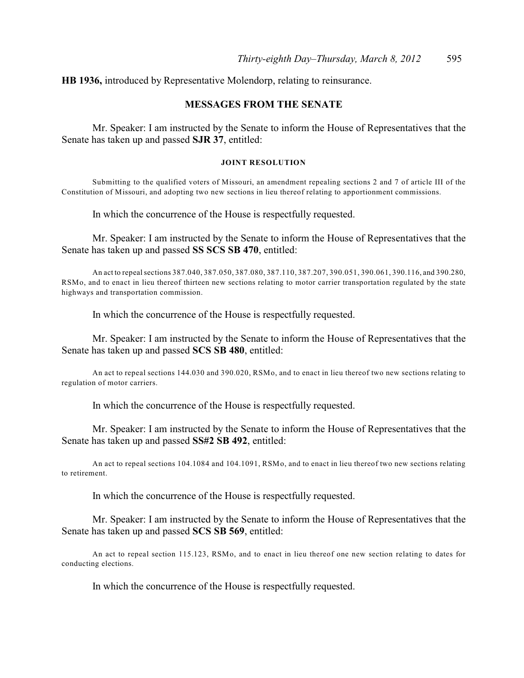**HB 1936,** introduced by Representative Molendorp, relating to reinsurance.

#### **MESSAGES FROM THE SENATE**

Mr. Speaker: I am instructed by the Senate to inform the House of Representatives that the Senate has taken up and passed **SJR 37**, entitled:

#### **JOINT RESOLUTION**

Submitting to the qualified voters of Missouri, an amendment repealing sections 2 and 7 of article III of the Constitution of Missouri, and adopting two new sections in lieu thereof relating to apportionment commissions.

In which the concurrence of the House is respectfully requested.

Mr. Speaker: I am instructed by the Senate to inform the House of Representatives that the Senate has taken up and passed **SS SCS SB 470**, entitled:

An act to repeal sections 387.040, 387.050, 387.080, 387.110, 387.207, 390.051, 390.061, 390.116, and 390.280, RSMo, and to enact in lieu thereof thirteen new sections relating to motor carrier transportation regulated by the state highways and transportation commission.

In which the concurrence of the House is respectfully requested.

Mr. Speaker: I am instructed by the Senate to inform the House of Representatives that the Senate has taken up and passed **SCS SB 480**, entitled:

An act to repeal sections 144.030 and 390.020, RSMo, and to enact in lieu thereof two new sections relating to regulation of motor carriers.

In which the concurrence of the House is respectfully requested.

Mr. Speaker: I am instructed by the Senate to inform the House of Representatives that the Senate has taken up and passed **SS#2 SB 492**, entitled:

An act to repeal sections 104.1084 and 104.1091, RSMo, and to enact in lieu thereof two new sections relating to retirement.

In which the concurrence of the House is respectfully requested.

Mr. Speaker: I am instructed by the Senate to inform the House of Representatives that the Senate has taken up and passed **SCS SB 569**, entitled:

An act to repeal section 115.123, RSMo, and to enact in lieu thereof one new section relating to dates for conducting elections.

In which the concurrence of the House is respectfully requested.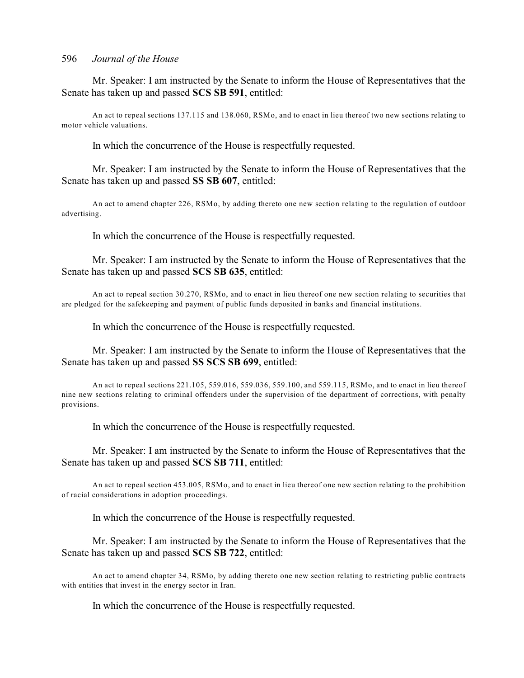Mr. Speaker: I am instructed by the Senate to inform the House of Representatives that the Senate has taken up and passed **SCS SB 591**, entitled:

An act to repeal sections 137.115 and 138.060, RSMo, and to enact in lieu thereof two new sections relating to motor vehicle valuations.

In which the concurrence of the House is respectfully requested.

Mr. Speaker: I am instructed by the Senate to inform the House of Representatives that the Senate has taken up and passed **SS SB 607**, entitled:

An act to amend chapter 226, RSMo, by adding thereto one new section relating to the regulation of outdoor advertising.

In which the concurrence of the House is respectfully requested.

Mr. Speaker: I am instructed by the Senate to inform the House of Representatives that the Senate has taken up and passed **SCS SB 635**, entitled:

An act to repeal section 30.270, RSMo, and to enact in lieu thereof one new section relating to securities that are pledged for the safekeeping and payment of public funds deposited in banks and financial institutions.

In which the concurrence of the House is respectfully requested.

Mr. Speaker: I am instructed by the Senate to inform the House of Representatives that the Senate has taken up and passed **SS SCS SB 699**, entitled:

An act to repeal sections 221.105, 559.016, 559.036, 559.100, and 559.115, RSMo, and to enact in lieu thereof nine new sections relating to criminal offenders under the supervision of the department of corrections, with penalty provisions.

In which the concurrence of the House is respectfully requested.

Mr. Speaker: I am instructed by the Senate to inform the House of Representatives that the Senate has taken up and passed **SCS SB 711**, entitled:

An act to repeal section 453.005, RSMo, and to enact in lieu thereof one new section relating to the prohibition of racial considerations in adoption proceedings.

In which the concurrence of the House is respectfully requested.

Mr. Speaker: I am instructed by the Senate to inform the House of Representatives that the Senate has taken up and passed **SCS SB 722**, entitled:

An act to amend chapter 34, RSMo, by adding thereto one new section relating to restricting public contracts with entities that invest in the energy sector in Iran.

In which the concurrence of the House is respectfully requested.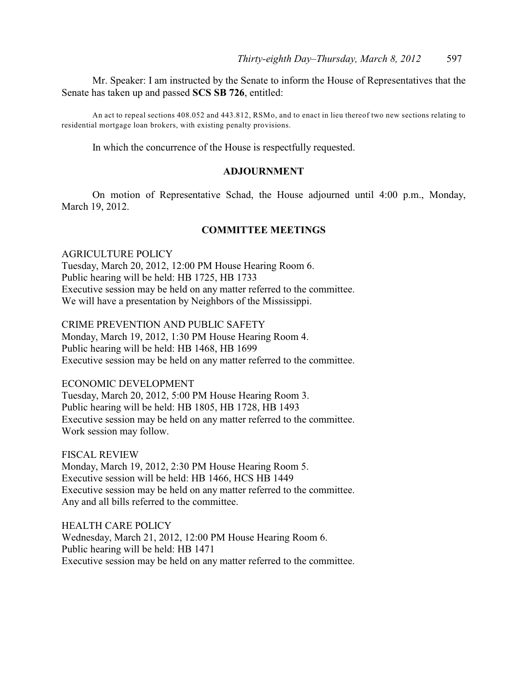Mr. Speaker: I am instructed by the Senate to inform the House of Representatives that the Senate has taken up and passed **SCS SB 726**, entitled:

An act to repeal sections 408.052 and 443.812, RSMo, and to enact in lieu thereof two new sections relating to residential mortgage loan brokers, with existing penalty provisions.

In which the concurrence of the House is respectfully requested.

### **ADJOURNMENT**

On motion of Representative Schad, the House adjourned until 4:00 p.m., Monday, March 19, 2012.

#### **COMMITTEE MEETINGS**

AGRICULTURE POLICY Tuesday, March 20, 2012, 12:00 PM House Hearing Room 6. Public hearing will be held: HB 1725, HB 1733 Executive session may be held on any matter referred to the committee. We will have a presentation by Neighbors of the Mississippi.

CRIME PREVENTION AND PUBLIC SAFETY Monday, March 19, 2012, 1:30 PM House Hearing Room 4. Public hearing will be held: HB 1468, HB 1699 Executive session may be held on any matter referred to the committee.

ECONOMIC DEVELOPMENT Tuesday, March 20, 2012, 5:00 PM House Hearing Room 3. Public hearing will be held: HB 1805, HB 1728, HB 1493 Executive session may be held on any matter referred to the committee. Work session may follow.

FISCAL REVIEW Monday, March 19, 2012, 2:30 PM House Hearing Room 5. Executive session will be held: HB 1466, HCS HB 1449 Executive session may be held on any matter referred to the committee. Any and all bills referred to the committee.

HEALTH CARE POLICY Wednesday, March 21, 2012, 12:00 PM House Hearing Room 6. Public hearing will be held: HB 1471 Executive session may be held on any matter referred to the committee.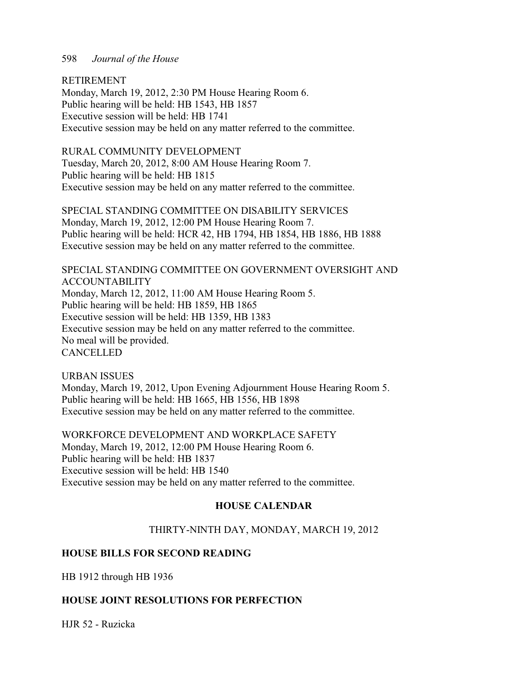RETIREMENT

Monday, March 19, 2012, 2:30 PM House Hearing Room 6. Public hearing will be held: HB 1543, HB 1857 Executive session will be held: HB 1741 Executive session may be held on any matter referred to the committee.

### RURAL COMMUNITY DEVELOPMENT

Tuesday, March 20, 2012, 8:00 AM House Hearing Room 7. Public hearing will be held: HB 1815 Executive session may be held on any matter referred to the committee.

SPECIAL STANDING COMMITTEE ON DISABILITY SERVICES Monday, March 19, 2012, 12:00 PM House Hearing Room 7. Public hearing will be held: HCR 42, HB 1794, HB 1854, HB 1886, HB 1888 Executive session may be held on any matter referred to the committee.

SPECIAL STANDING COMMITTEE ON GOVERNMENT OVERSIGHT AND ACCOUNTABILITY Monday, March 12, 2012, 11:00 AM House Hearing Room 5. Public hearing will be held: HB 1859, HB 1865 Executive session will be held: HB 1359, HB 1383 Executive session may be held on any matter referred to the committee. No meal will be provided. **CANCELLED** 

URBAN ISSUES Monday, March 19, 2012, Upon Evening Adjournment House Hearing Room 5. Public hearing will be held: HB 1665, HB 1556, HB 1898 Executive session may be held on any matter referred to the committee.

WORKFORCE DEVELOPMENT AND WORKPLACE SAFETY Monday, March 19, 2012, 12:00 PM House Hearing Room 6. Public hearing will be held: HB 1837 Executive session will be held: HB 1540 Executive session may be held on any matter referred to the committee.

### **HOUSE CALENDAR**

### THIRTY-NINTH DAY, MONDAY, MARCH 19, 2012

### **HOUSE BILLS FOR SECOND READING**

HB 1912 through HB 1936

### **HOUSE JOINT RESOLUTIONS FOR PERFECTION**

HJR 52 - Ruzicka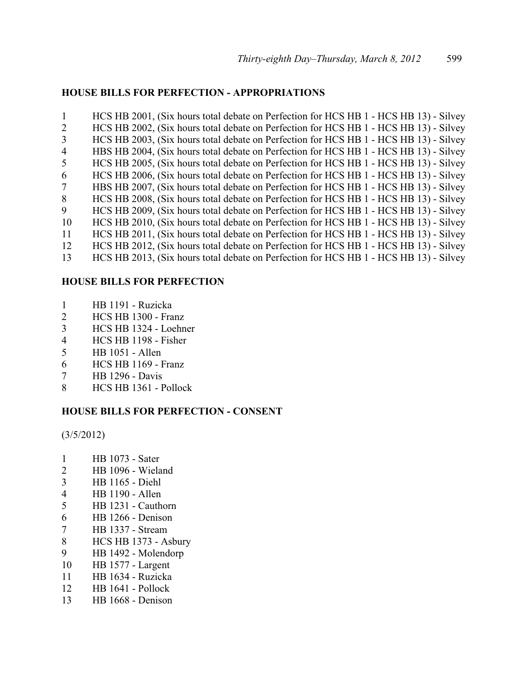### **HOUSE BILLS FOR PERFECTION - APPROPRIATIONS**

 HCS HB 2001, (Six hours total debate on Perfection for HCS HB 1 - HCS HB 13) - Silvey HCS HB 2002, (Six hours total debate on Perfection for HCS HB 1 - HCS HB 13) - Silvey HCS HB 2003, (Six hours total debate on Perfection for HCS HB 1 - HCS HB 13) - Silvey HBS HB 2004, (Six hours total debate on Perfection for HCS HB 1 - HCS HB 13) - Silvey HCS HB 2005, (Six hours total debate on Perfection for HCS HB 1 - HCS HB 13) - Silvey HCS HB 2006, (Six hours total debate on Perfection for HCS HB 1 - HCS HB 13) - Silvey HBS HB 2007, (Six hours total debate on Perfection for HCS HB 1 - HCS HB 13) - Silvey 8 HCS HB 2008, (Six hours total debate on Perfection for HCS HB 1 - HCS HB 13) - Silvey HCS HB 2009, (Six hours total debate on Perfection for HCS HB 1 - HCS HB 13) - Silvey HCS HB 2010, (Six hours total debate on Perfection for HCS HB 1 - HCS HB 13) - Silvey HCS HB 2011, (Six hours total debate on Perfection for HCS HB 1 - HCS HB 13) - Silvey HCS HB 2012, (Six hours total debate on Perfection for HCS HB 1 - HCS HB 13) - Silvey HCS HB 2013, (Six hours total debate on Perfection for HCS HB 1 - HCS HB 13) - Silvey

### **HOUSE BILLS FOR PERFECTION**

- HB 1191 Ruzicka
- HCS HB 1300 Franz
- HCS HB 1324 Loehner
- HCS HB 1198 Fisher
- HB 1051 Allen
- HCS HB 1169 Franz
- HB 1296 Davis
- HCS HB 1361 Pollock

### **HOUSE BILLS FOR PERFECTION - CONSENT**

(3/5/2012)

- HB 1073 Sater
- HB 1096 Wieland
- HB 1165 Diehl
- HB 1190 Allen
- HB 1231 Cauthorn
- HB 1266 Denison
- HB 1337 Stream
- HCS HB 1373 Asbury
- HB 1492 Molendorp
- HB 1577 Largent
- HB 1634 Ruzicka
- HB 1641 Pollock
- HB 1668 Denison